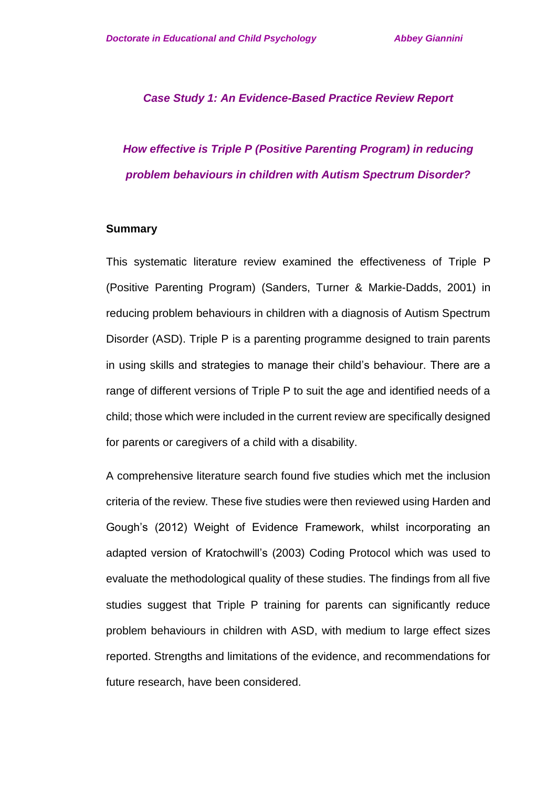#### *Case Study 1: An Evidence-Based Practice Review Report*

# *How effective is Triple P (Positive Parenting Program) in reducing problem behaviours in children with Autism Spectrum Disorder?*

#### **Summary**

This systematic literature review examined the effectiveness of Triple P (Positive Parenting Program) (Sanders, Turner & Markie-Dadds, 2001) in reducing problem behaviours in children with a diagnosis of Autism Spectrum Disorder (ASD). Triple P is a parenting programme designed to train parents in using skills and strategies to manage their child's behaviour. There are a range of different versions of Triple P to suit the age and identified needs of a child; those which were included in the current review are specifically designed for parents or caregivers of a child with a disability.

A comprehensive literature search found five studies which met the inclusion criteria of the review. These five studies were then reviewed using Harden and Gough's (2012) Weight of Evidence Framework, whilst incorporating an adapted version of Kratochwill's (2003) Coding Protocol which was used to evaluate the methodological quality of these studies. The findings from all five studies suggest that Triple P training for parents can significantly reduce problem behaviours in children with ASD, with medium to large effect sizes reported. Strengths and limitations of the evidence, and recommendations for future research, have been considered.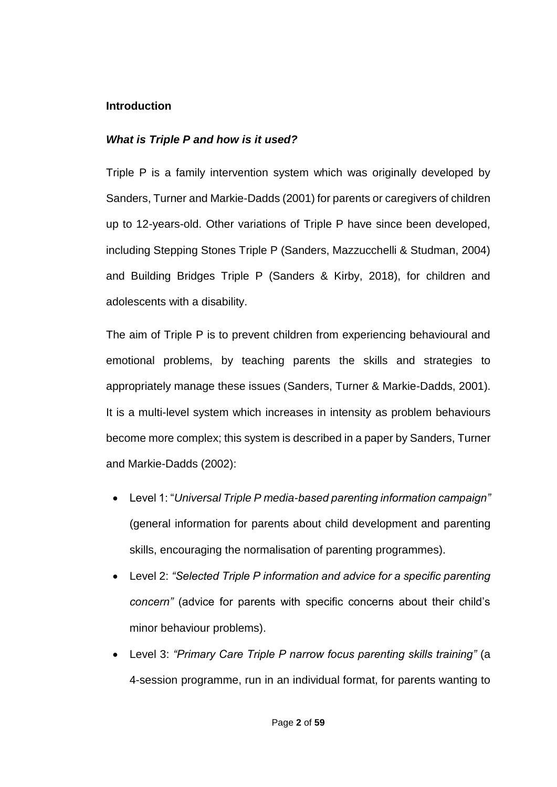### **Introduction**

### *What is Triple P and how is it used?*

Triple P is a family intervention system which was originally developed by Sanders, Turner and Markie-Dadds (2001) for parents or caregivers of children up to 12-years-old. Other variations of Triple P have since been developed, including Stepping Stones Triple P (Sanders, Mazzucchelli & Studman, 2004) and Building Bridges Triple P (Sanders & Kirby, 2018), for children and adolescents with a disability.

The aim of Triple P is to prevent children from experiencing behavioural and emotional problems, by teaching parents the skills and strategies to appropriately manage these issues (Sanders, Turner & Markie-Dadds, 2001). It is a multi-level system which increases in intensity as problem behaviours become more complex; this system is described in a paper by Sanders, Turner and Markie-Dadds (2002):

- Level 1: "*Universal Triple P media-based parenting information campaign"* (general information for parents about child development and parenting skills, encouraging the normalisation of parenting programmes).
- Level 2: *"Selected Triple P information and advice for a specific parenting concern"* (advice for parents with specific concerns about their child's minor behaviour problems).
- Level 3: *"Primary Care Triple P narrow focus parenting skills training"* (a 4-session programme, run in an individual format, for parents wanting to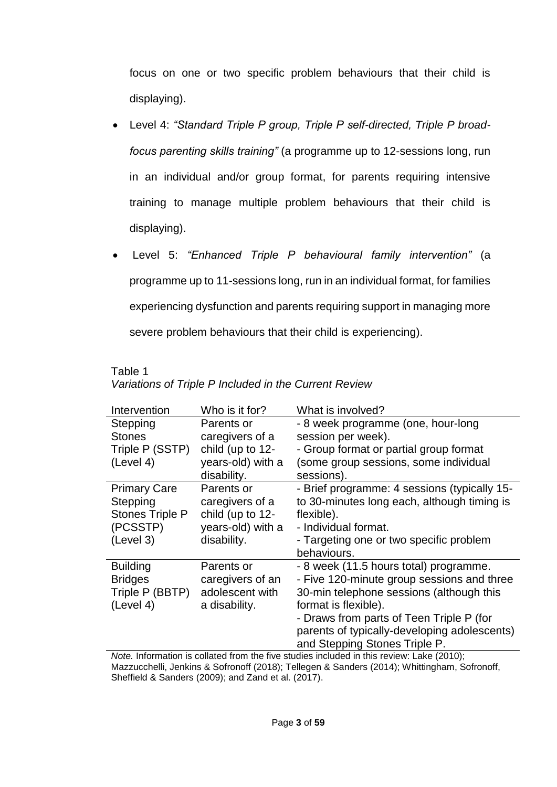focus on one or two specific problem behaviours that their child is displaying).

- Level 4: *"Standard Triple P group, Triple P self-directed, Triple P broadfocus parenting skills training"* (a programme up to 12-sessions long, run in an individual and/or group format, for parents requiring intensive training to manage multiple problem behaviours that their child is displaying).
- Level 5: *"Enhanced Triple P behavioural family intervention"* (a programme up to 11-sessions long, run in an individual format, for families experiencing dysfunction and parents requiring support in managing more severe problem behaviours that their child is experiencing).

| variations of Triple P included in the Current Review |                   |                                              |  |  |  |  |  |  |
|-------------------------------------------------------|-------------------|----------------------------------------------|--|--|--|--|--|--|
| Intervention                                          | Who is it for?    | What is involved?                            |  |  |  |  |  |  |
| Stepping                                              | Parents or        | - 8 week programme (one, hour-long           |  |  |  |  |  |  |
| <b>Stones</b>                                         | caregivers of a   | session per week).                           |  |  |  |  |  |  |
| Triple P (SSTP)                                       | child (up to 12-  | - Group format or partial group format       |  |  |  |  |  |  |
| (Level 4)                                             | years-old) with a | (some group sessions, some individual        |  |  |  |  |  |  |
|                                                       | disability.       | sessions).                                   |  |  |  |  |  |  |
| <b>Primary Care</b>                                   | Parents or        | - Brief programme: 4 sessions (typically 15- |  |  |  |  |  |  |
| Stepping                                              | caregivers of a   | to 30-minutes long each, although timing is  |  |  |  |  |  |  |
| Stones Triple P                                       | child (up to 12-  | flexible).                                   |  |  |  |  |  |  |
| (PCSSTP)                                              | years-old) with a | - Individual format.                         |  |  |  |  |  |  |
| (Level 3)                                             | disability.       | - Targeting one or two specific problem      |  |  |  |  |  |  |
|                                                       |                   | behaviours.                                  |  |  |  |  |  |  |
| <b>Building</b>                                       | Parents or        | - 8 week (11.5 hours total) programme.       |  |  |  |  |  |  |
| <b>Bridges</b>                                        | caregivers of an  | - Five 120-minute group sessions and three   |  |  |  |  |  |  |
| Triple P (BBTP)                                       | adolescent with   | 30-min telephone sessions (although this     |  |  |  |  |  |  |
| (Level 4)                                             | a disability.     | format is flexible).                         |  |  |  |  |  |  |
|                                                       |                   | - Draws from parts of Teen Triple P (for     |  |  |  |  |  |  |
|                                                       |                   | parents of typically-developing adolescents) |  |  |  |  |  |  |
|                                                       |                   | and Stepping Stones Triple P.                |  |  |  |  |  |  |

Table 1 *Variations of Triple P Included in the Current Review*

*Note.* Information is collated from the five studies included in this review: Lake (2010); Mazzucchelli, Jenkins & Sofronoff (2018); Tellegen & Sanders (2014); Whittingham, Sofronoff, Sheffield & Sanders (2009); and Zand et al. (2017).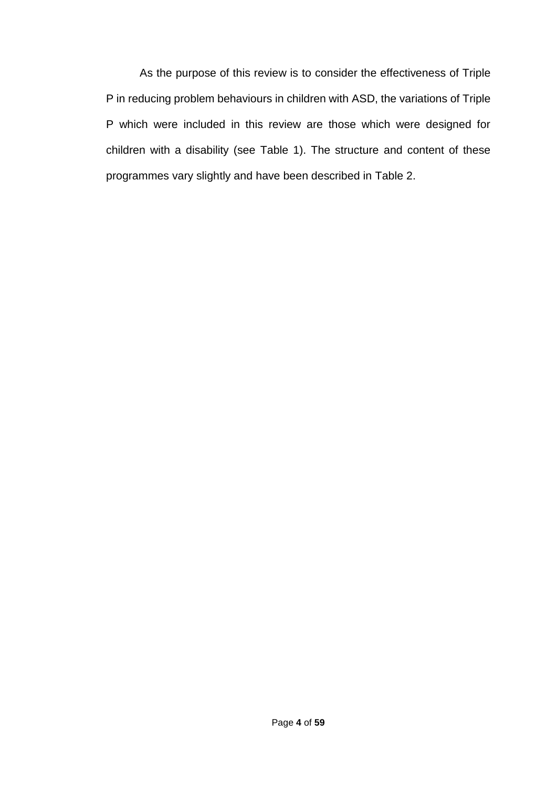As the purpose of this review is to consider the effectiveness of Triple P in reducing problem behaviours in children with ASD, the variations of Triple P which were included in this review are those which were designed for children with a disability (see Table 1). The structure and content of these programmes vary slightly and have been described in Table 2.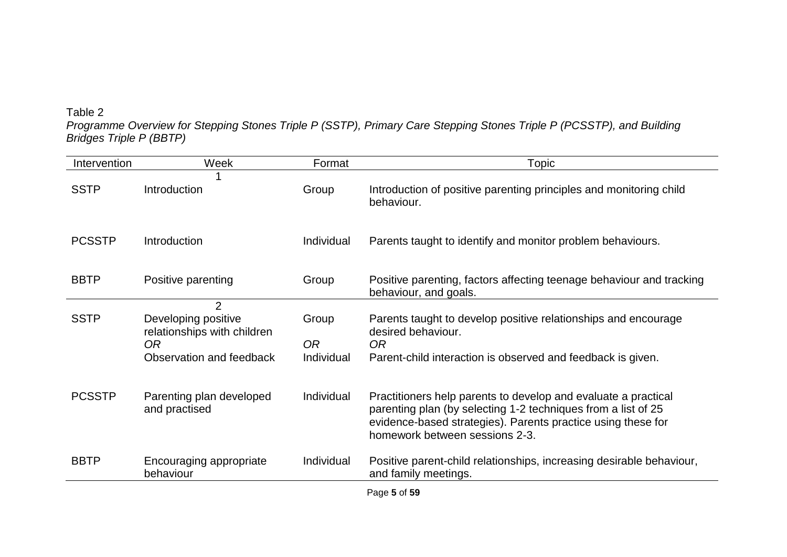## Table 2

*Programme Overview for Stepping Stones Triple P (SSTP), Primary Care Stepping Stones Triple P (PCSSTP), and Building Bridges Triple P (BBTP)* 

| Intervention  | Week                                                                                                               | Format                                | Topic                                                                                                                                                                                                                             |
|---------------|--------------------------------------------------------------------------------------------------------------------|---------------------------------------|-----------------------------------------------------------------------------------------------------------------------------------------------------------------------------------------------------------------------------------|
| <b>SSTP</b>   | Introduction                                                                                                       | Group                                 | Introduction of positive parenting principles and monitoring child<br>behaviour.                                                                                                                                                  |
| <b>PCSSTP</b> | Introduction                                                                                                       | Individual                            | Parents taught to identify and monitor problem behaviours.                                                                                                                                                                        |
| <b>BBTP</b>   | Positive parenting                                                                                                 | Group                                 | Positive parenting, factors affecting teenage behaviour and tracking<br>behaviour, and goals.                                                                                                                                     |
| <b>SSTP</b>   | $\overline{2}$<br>Developing positive<br>relationships with children<br>0 <sub>R</sub><br>Observation and feedback | Group<br>0 <sub>R</sub><br>Individual | Parents taught to develop positive relationships and encourage<br>desired behaviour.<br>0 <sub>R</sub><br>Parent-child interaction is observed and feedback is given.                                                             |
| <b>PCSSTP</b> | Parenting plan developed<br>and practised                                                                          | Individual                            | Practitioners help parents to develop and evaluate a practical<br>parenting plan (by selecting 1-2 techniques from a list of 25<br>evidence-based strategies). Parents practice using these for<br>homework between sessions 2-3. |
| <b>BBTP</b>   | Encouraging appropriate<br>behaviour                                                                               | Individual                            | Positive parent-child relationships, increasing desirable behaviour,<br>and family meetings.                                                                                                                                      |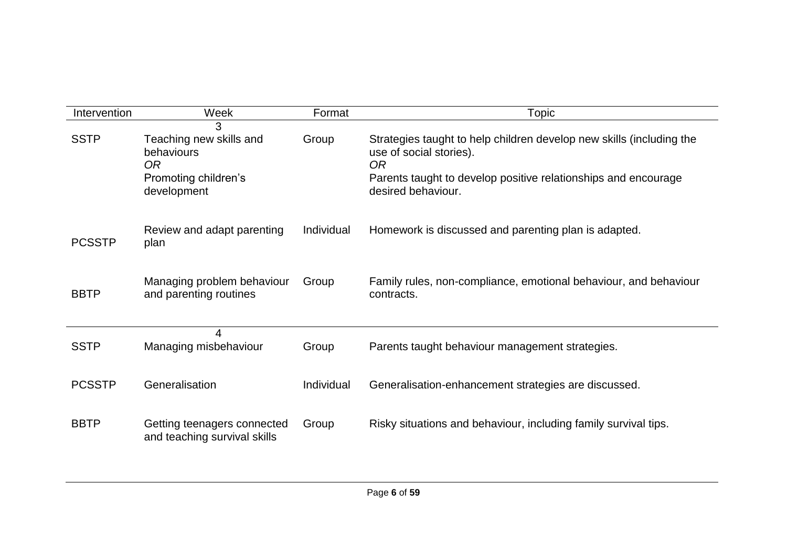| Intervention  | Week                                                                                     | Format     | <b>Topic</b>                                                                                                                                                                                  |
|---------------|------------------------------------------------------------------------------------------|------------|-----------------------------------------------------------------------------------------------------------------------------------------------------------------------------------------------|
| <b>SSTP</b>   | 3<br>Teaching new skills and<br>behaviours<br>OR.<br>Promoting children's<br>development | Group      | Strategies taught to help children develop new skills (including the<br>use of social stories).<br>0R<br>Parents taught to develop positive relationships and encourage<br>desired behaviour. |
| <b>PCSSTP</b> | Review and adapt parenting<br>plan                                                       | Individual | Homework is discussed and parenting plan is adapted.                                                                                                                                          |
| <b>BBTP</b>   | Managing problem behaviour<br>and parenting routines                                     | Group      | Family rules, non-compliance, emotional behaviour, and behaviour<br>contracts.                                                                                                                |
| <b>SSTP</b>   | 4<br>Managing misbehaviour                                                               | Group      | Parents taught behaviour management strategies.                                                                                                                                               |
| <b>PCSSTP</b> | Generalisation                                                                           | Individual | Generalisation-enhancement strategies are discussed.                                                                                                                                          |
| <b>BBTP</b>   | Getting teenagers connected<br>and teaching survival skills                              | Group      | Risky situations and behaviour, including family survival tips.                                                                                                                               |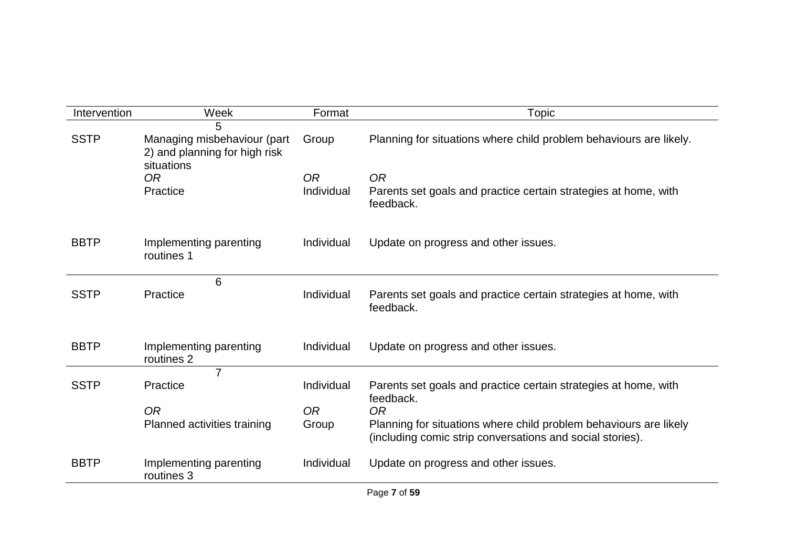| Intervention | Week                                                                       | Format         | Topic                                                                                                                          |
|--------------|----------------------------------------------------------------------------|----------------|--------------------------------------------------------------------------------------------------------------------------------|
|              | 5                                                                          |                |                                                                                                                                |
| <b>SSTP</b>  | Managing misbehaviour (part<br>2) and planning for high risk<br>situations | Group          | Planning for situations where child problem behaviours are likely.                                                             |
|              | 0 <sub>R</sub>                                                             | <b>OR</b>      | <b>OR</b>                                                                                                                      |
|              | Practice                                                                   | Individual     | Parents set goals and practice certain strategies at home, with<br>feedback.                                                   |
| <b>BBTP</b>  | Implementing parenting<br>routines 1                                       | Individual     | Update on progress and other issues.                                                                                           |
|              | 6                                                                          |                |                                                                                                                                |
| <b>SSTP</b>  | Practice                                                                   | Individual     | Parents set goals and practice certain strategies at home, with<br>feedback.                                                   |
|              |                                                                            |                |                                                                                                                                |
| <b>BBTP</b>  | Implementing parenting<br>routines 2                                       | Individual     | Update on progress and other issues.                                                                                           |
|              | 7                                                                          |                |                                                                                                                                |
| <b>SSTP</b>  | Practice                                                                   | Individual     | Parents set goals and practice certain strategies at home, with<br>feedback.                                                   |
|              | <b>OR</b>                                                                  | 0 <sub>R</sub> | <b>OR</b>                                                                                                                      |
|              | Planned activities training                                                | Group          | Planning for situations where child problem behaviours are likely<br>(including comic strip conversations and social stories). |
| <b>BBTP</b>  | Implementing parenting<br>routines 3                                       | Individual     | Update on progress and other issues.                                                                                           |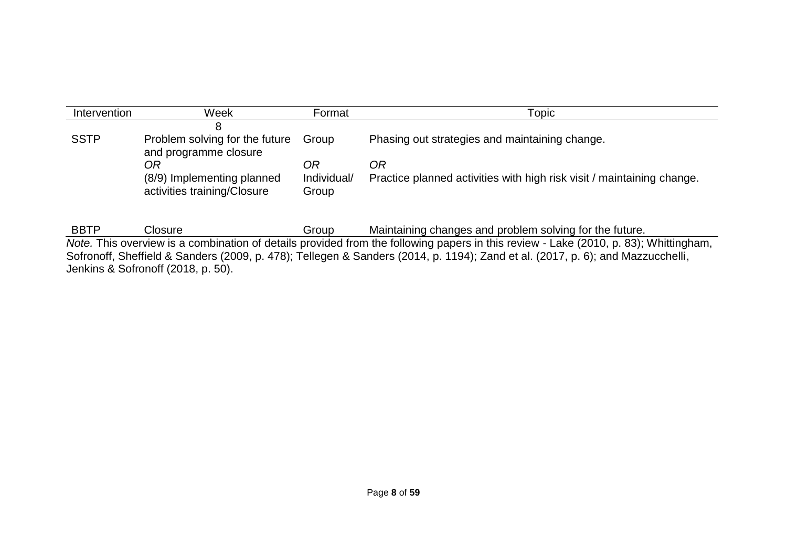| Intervention                                                                                                                   | Week                                                      | Format               | Topic                                                                                                                                |  |  |  |  |  |
|--------------------------------------------------------------------------------------------------------------------------------|-----------------------------------------------------------|----------------------|--------------------------------------------------------------------------------------------------------------------------------------|--|--|--|--|--|
|                                                                                                                                |                                                           |                      |                                                                                                                                      |  |  |  |  |  |
| <b>SSTP</b>                                                                                                                    | Problem solving for the future<br>and programme closure   | Group                | Phasing out strategies and maintaining change.                                                                                       |  |  |  |  |  |
|                                                                                                                                | OR                                                        | OR                   | ОR                                                                                                                                   |  |  |  |  |  |
|                                                                                                                                | (8/9) Implementing planned<br>activities training/Closure | Individual/<br>Group | Practice planned activities with high risk visit / maintaining change.                                                               |  |  |  |  |  |
|                                                                                                                                |                                                           |                      |                                                                                                                                      |  |  |  |  |  |
| <b>BBTP</b>                                                                                                                    | Closure                                                   | Group                | Maintaining changes and problem solving for the future.                                                                              |  |  |  |  |  |
|                                                                                                                                |                                                           |                      | Note. This overview is a combination of details provided from the following papers in this review - Lake (2010, p. 83); Whittingham, |  |  |  |  |  |
| Sofronoff, Sheffield & Sanders (2009, p. 478); Tellegen & Sanders (2014, p. 1194); Zand et al. (2017, p. 6); and Mazzucchelli, |                                                           |                      |                                                                                                                                      |  |  |  |  |  |

Jenkins & Sofronoff (2018, p. 50).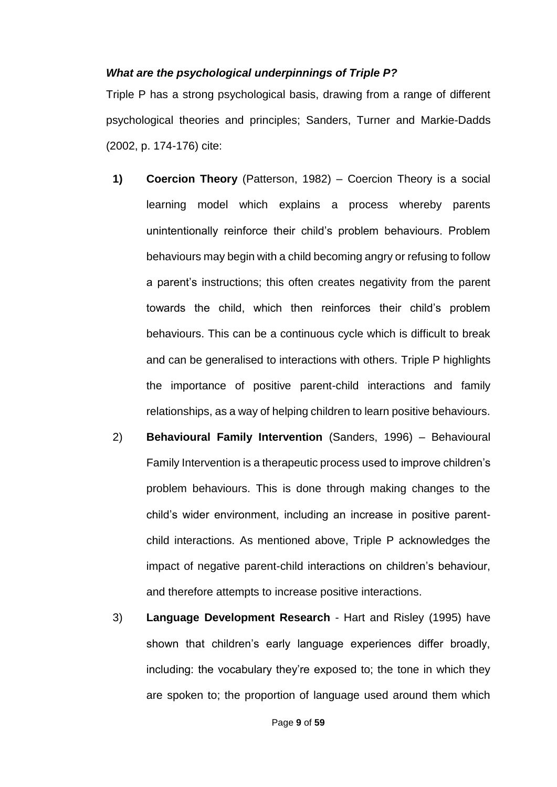### *What are the psychological underpinnings of Triple P?*

Triple P has a strong psychological basis, drawing from a range of different psychological theories and principles; Sanders, Turner and Markie-Dadds (2002, p. 174-176) cite:

- **1) Coercion Theory** (Patterson, 1982) Coercion Theory is a social learning model which explains a process whereby parents unintentionally reinforce their child's problem behaviours. Problem behaviours may begin with a child becoming angry or refusing to follow a parent's instructions; this often creates negativity from the parent towards the child, which then reinforces their child's problem behaviours. This can be a continuous cycle which is difficult to break and can be generalised to interactions with others. Triple P highlights the importance of positive parent-child interactions and family relationships, as a way of helping children to learn positive behaviours.
- 2) **Behavioural Family Intervention** (Sanders, 1996) Behavioural Family Intervention is a therapeutic process used to improve children's problem behaviours. This is done through making changes to the child's wider environment, including an increase in positive parentchild interactions. As mentioned above, Triple P acknowledges the impact of negative parent-child interactions on children's behaviour, and therefore attempts to increase positive interactions.
- 3) **Language Development Research**  Hart and Risley (1995) have shown that children's early language experiences differ broadly, including: the vocabulary they're exposed to; the tone in which they are spoken to; the proportion of language used around them which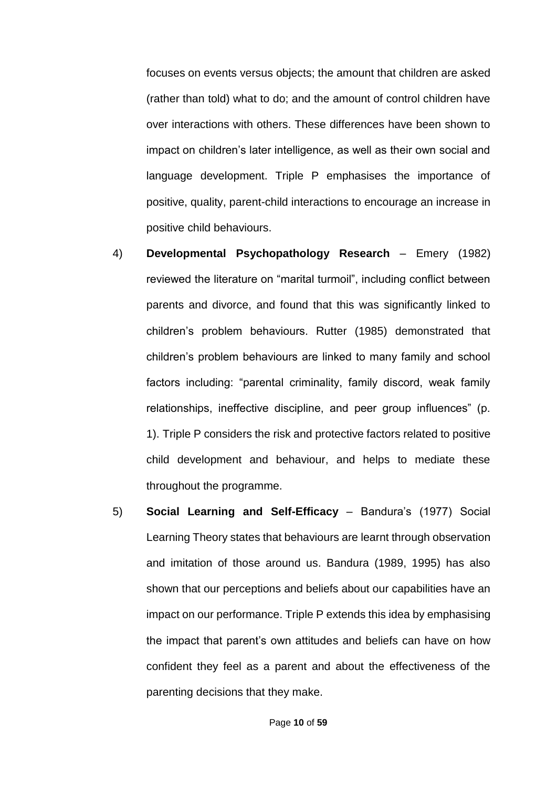focuses on events versus objects; the amount that children are asked (rather than told) what to do; and the amount of control children have over interactions with others. These differences have been shown to impact on children's later intelligence, as well as their own social and language development. Triple P emphasises the importance of positive, quality, parent-child interactions to encourage an increase in positive child behaviours.

- 4) **Developmental Psychopathology Research** Emery (1982) reviewed the literature on "marital turmoil", including conflict between parents and divorce, and found that this was significantly linked to children's problem behaviours. Rutter (1985) demonstrated that children's problem behaviours are linked to many family and school factors including: "parental criminality, family discord, weak family relationships, ineffective discipline, and peer group influences" (p. 1). Triple P considers the risk and protective factors related to positive child development and behaviour, and helps to mediate these throughout the programme.
- 5) **Social Learning and Self-Efficacy**  Bandura's (1977) Social Learning Theory states that behaviours are learnt through observation and imitation of those around us. Bandura (1989, 1995) has also shown that our perceptions and beliefs about our capabilities have an impact on our performance. Triple P extends this idea by emphasising the impact that parent's own attitudes and beliefs can have on how confident they feel as a parent and about the effectiveness of the parenting decisions that they make.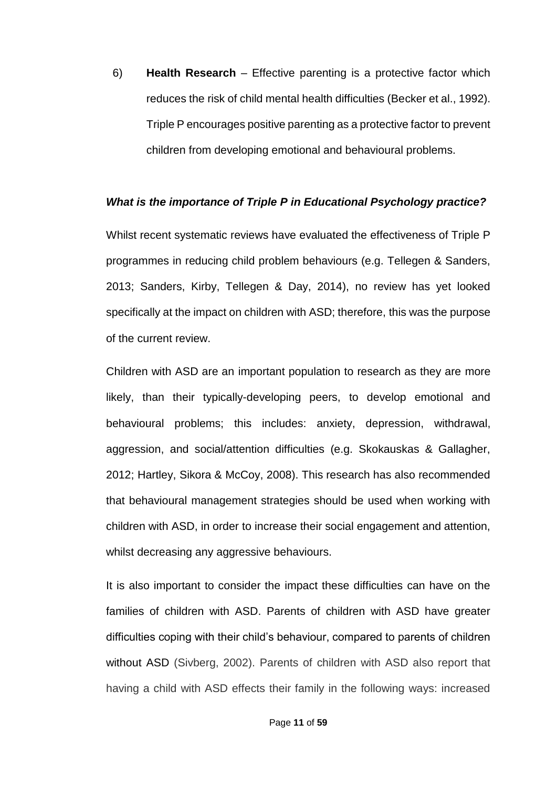6) **Health Research** – Effective parenting is a protective factor which reduces the risk of child mental health difficulties (Becker et al., 1992). Triple P encourages positive parenting as a protective factor to prevent children from developing emotional and behavioural problems.

#### *What is the importance of Triple P in Educational Psychology practice?*

Whilst recent systematic reviews have evaluated the effectiveness of Triple P programmes in reducing child problem behaviours (e.g. Tellegen & Sanders, 2013; Sanders, Kirby, Tellegen & Day, 2014), no review has yet looked specifically at the impact on children with ASD; therefore, this was the purpose of the current review.

Children with ASD are an important population to research as they are more likely, than their typically-developing peers, to develop emotional and behavioural problems; this includes: anxiety, depression, withdrawal, aggression, and social/attention difficulties (e.g. Skokauskas & Gallagher, 2012; Hartley, Sikora & McCoy, 2008). This research has also recommended that behavioural management strategies should be used when working with children with ASD, in order to increase their social engagement and attention, whilst decreasing any aggressive behaviours.

It is also important to consider the impact these difficulties can have on the families of children with ASD. Parents of children with ASD have greater difficulties coping with their child's behaviour, compared to parents of children without ASD (Sivberg, 2002). Parents of children with ASD also report that having a child with ASD effects their family in the following ways: increased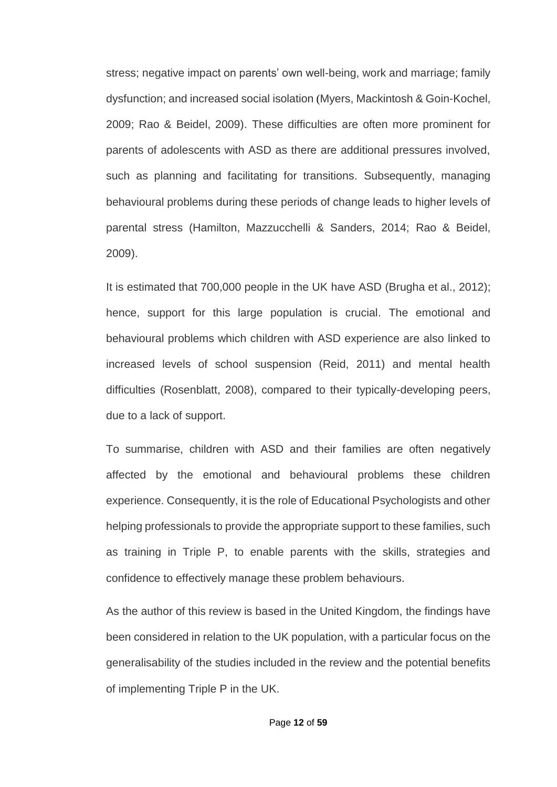stress; negative impact on parents' own well-being, work and marriage; family dysfunction; and increased social isolation (Myers, Mackintosh & Goin-Kochel, 2009; Rao & Beidel, 2009). These difficulties are often more prominent for parents of adolescents with ASD as there are additional pressures involved, such as planning and facilitating for transitions. Subsequently, managing behavioural problems during these periods of change leads to higher levels of parental stress (Hamilton, Mazzucchelli & Sanders, 2014; Rao & Beidel, 2009).

It is estimated that 700,000 people in the UK have ASD (Brugha et al., 2012); hence, support for this large population is crucial. The emotional and behavioural problems which children with ASD experience are also linked to increased levels of school suspension (Reid, 2011) and mental health difficulties (Rosenblatt, 2008), compared to their typically-developing peers, due to a lack of support.

To summarise, children with ASD and their families are often negatively affected by the emotional and behavioural problems these children experience. Consequently, it is the role of Educational Psychologists and other helping professionals to provide the appropriate support to these families, such as training in Triple P, to enable parents with the skills, strategies and confidence to effectively manage these problem behaviours.

As the author of this review is based in the United Kingdom, the findings have been considered in relation to the UK population, with a particular focus on the generalisability of the studies included in the review and the potential benefits of implementing Triple P in the UK.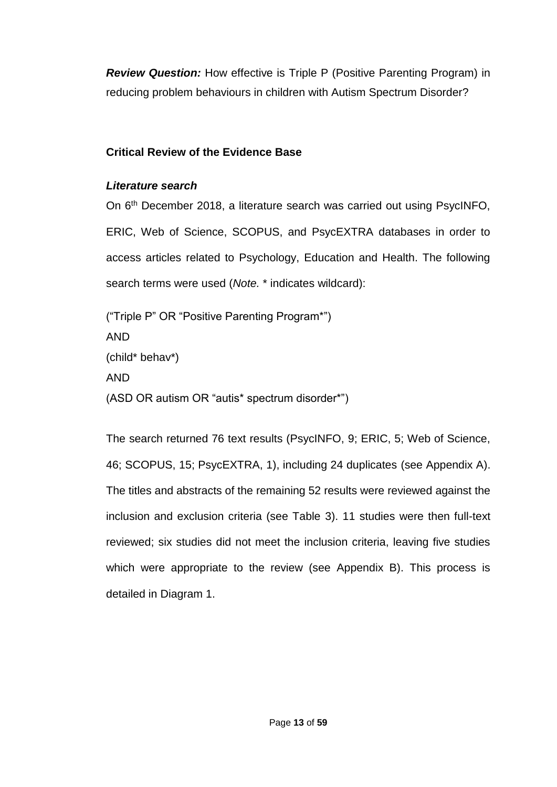*Review Question:* How effective is Triple P (Positive Parenting Program) in reducing problem behaviours in children with Autism Spectrum Disorder?

# **Critical Review of the Evidence Base**

# *Literature search*

On 6<sup>th</sup> December 2018, a literature search was carried out using PsycINFO, ERIC, Web of Science, SCOPUS, and PsycEXTRA databases in order to access articles related to Psychology, Education and Health. The following search terms were used (*Note.* \* indicates wildcard):

("Triple P" OR "Positive Parenting Program\*") AND (child\* behav\*) AND (ASD OR autism OR "autis\* spectrum disorder\*")

The search returned 76 text results (PsycINFO, 9; ERIC, 5; Web of Science, 46; SCOPUS, 15; PsycEXTRA, 1), including 24 duplicates (see Appendix A). The titles and abstracts of the remaining 52 results were reviewed against the inclusion and exclusion criteria (see Table 3). 11 studies were then full-text reviewed; six studies did not meet the inclusion criteria, leaving five studies which were appropriate to the review (see Appendix B). This process is detailed in Diagram 1.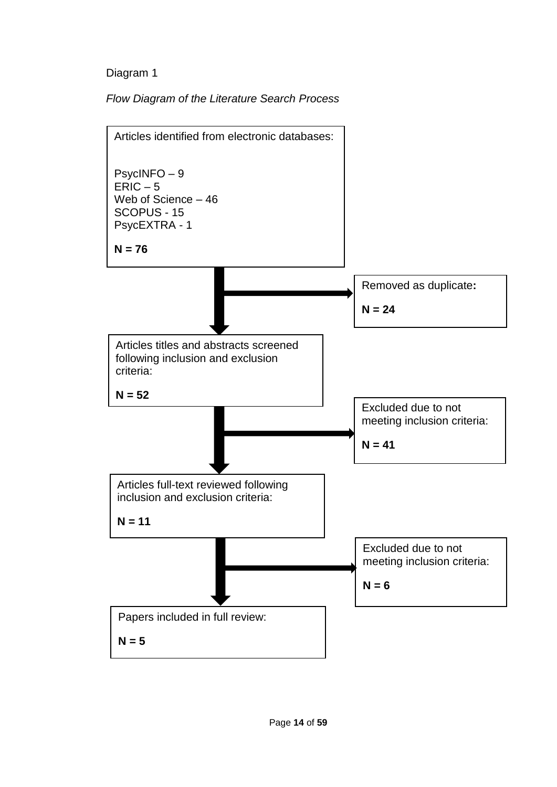# Diagram 1

*Flow Diagram of the Literature Search Process*

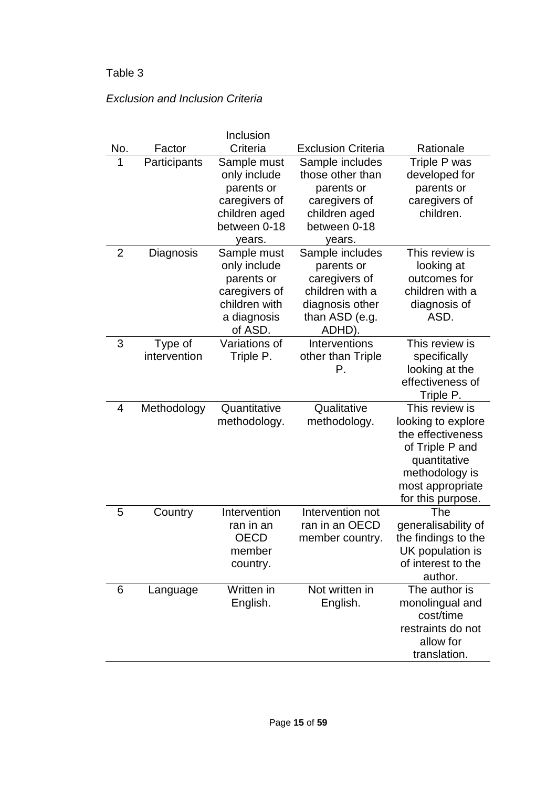# Table 3

# *Exclusion and Inclusion Criteria*

|     |                         | Inclusion     |                           |                                    |
|-----|-------------------------|---------------|---------------------------|------------------------------------|
| No. | Factor                  | Criteria      | <b>Exclusion Criteria</b> | Rationale                          |
| 1   | Participants            | Sample must   | Sample includes           | Triple P was                       |
|     |                         | only include  | those other than          | developed for                      |
|     |                         | parents or    | parents or                | parents or                         |
|     |                         | caregivers of | caregivers of             | caregivers of                      |
|     |                         | children aged | children aged             | children.                          |
|     |                         | between 0-18  | between 0-18              |                                    |
|     |                         | years.        | years.                    |                                    |
| 2   | Diagnosis               | Sample must   | Sample includes           | This review is                     |
|     |                         | only include  | parents or                | looking at                         |
|     |                         | parents or    | caregivers of             | outcomes for                       |
|     |                         | caregivers of | children with a           | children with a                    |
|     |                         | children with | diagnosis other           | diagnosis of                       |
|     |                         | a diagnosis   | than ASD (e.g.            | ASD.                               |
|     |                         | of ASD.       | ADHD).                    |                                    |
| 3   | Type of<br>intervention | Variations of | Interventions             | This review is                     |
|     |                         | Triple P.     | other than Triple<br>Р.   | specifically                       |
|     |                         |               |                           | looking at the<br>effectiveness of |
|     |                         |               |                           | Triple P.                          |
| 4   | Methodology             | Quantitative  | Qualitative               | This review is                     |
|     |                         | methodology.  | methodology.              | looking to explore                 |
|     |                         |               |                           | the effectiveness                  |
|     |                         |               |                           | of Triple P and                    |
|     |                         |               |                           | quantitative                       |
|     |                         |               |                           | methodology is                     |
|     |                         |               |                           | most appropriate                   |
|     |                         |               |                           | for this purpose.                  |
| 5   | Country                 | Intervention  | Intervention not          | The                                |
|     |                         | ran in an     | ran in an OECD            | generalisability of                |
|     |                         | OECD          | member country.           | the findings to the                |
|     |                         | member        |                           | UK population is                   |
|     |                         | country.      |                           | of interest to the                 |
|     |                         |               |                           | author.                            |
| 6   | Language                | Written in    | Not written in            | The author is                      |
|     |                         | English.      | English.                  | monolingual and                    |
|     |                         |               |                           | cost/time                          |
|     |                         |               |                           | restraints do not                  |
|     |                         |               |                           | allow for                          |
|     |                         |               |                           | translation.                       |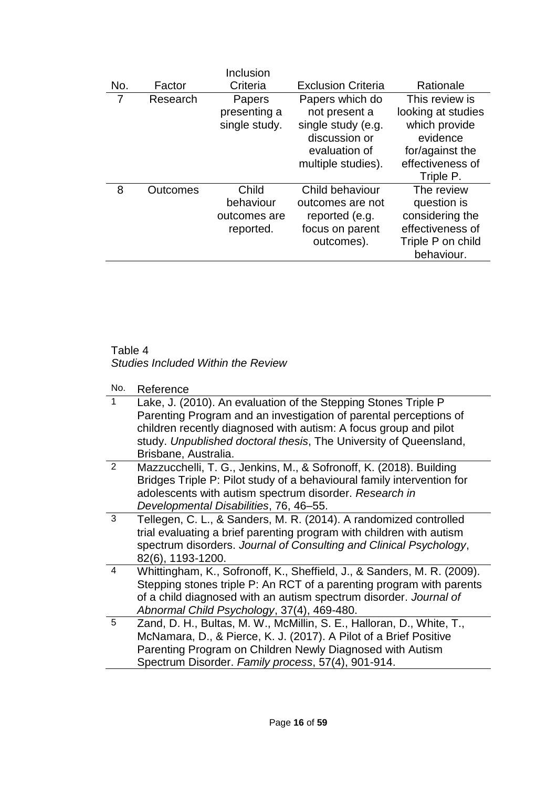| No. | Factor   | Inclusion<br>Criteria | <b>Exclusion Criteria</b> | Rationale          |
|-----|----------|-----------------------|---------------------------|--------------------|
| 7   | Research | Papers                | Papers which do           | This review is     |
|     |          | presenting a          | not present a             | looking at studies |
|     |          | single study.         | single study (e.g.        | which provide      |
|     |          |                       | discussion or             | evidence           |
|     |          |                       | evaluation of             | for/against the    |
|     |          |                       | multiple studies).        | effectiveness of   |
|     |          |                       |                           | Triple P.          |
| 8   | Outcomes | Child                 | Child behaviour           | The review         |
|     |          | behaviour             | outcomes are not          | question is        |
|     |          | outcomes are          | reported (e.g.            | considering the    |
|     |          | reported.             | focus on parent           | effectiveness of   |
|     |          |                       | outcomes).                | Triple P on child  |
|     |          |                       |                           | behaviour.         |

### Table 4 *Studies Included Within the Review*

No. Reference

|                | ,,,,,,,,,,,                                                                                                                                                                                                                                                                                          |
|----------------|------------------------------------------------------------------------------------------------------------------------------------------------------------------------------------------------------------------------------------------------------------------------------------------------------|
|                | Lake, J. (2010). An evaluation of the Stepping Stones Triple P<br>Parenting Program and an investigation of parental perceptions of<br>children recently diagnosed with autism: A focus group and pilot<br>study. Unpublished doctoral thesis, The University of Queensland,<br>Brisbane, Australia. |
| $\overline{2}$ | Mazzucchelli, T. G., Jenkins, M., & Sofronoff, K. (2018). Building<br>Bridges Triple P: Pilot study of a behavioural family intervention for<br>adolescents with autism spectrum disorder. Research in<br>Developmental Disabilities, 76, 46-55.                                                     |
| 3              | Tellegen, C. L., & Sanders, M. R. (2014). A randomized controlled<br>trial evaluating a brief parenting program with children with autism<br>spectrum disorders. Journal of Consulting and Clinical Psychology,<br>82(6), 1193-1200.                                                                 |
| 4              | Whittingham, K., Sofronoff, K., Sheffield, J., & Sanders, M. R. (2009).<br>Stepping stones triple P: An RCT of a parenting program with parents<br>of a child diagnosed with an autism spectrum disorder. Journal of<br>Abnormal Child Psychology, 37(4), 469-480.                                   |
| 5              | Zand, D. H., Bultas, M. W., McMillin, S. E., Halloran, D., White, T.,<br>McNamara, D., & Pierce, K. J. (2017). A Pilot of a Brief Positive<br>Parenting Program on Children Newly Diagnosed with Autism<br>Spectrum Disorder. Family process, 57(4), 901-914.                                        |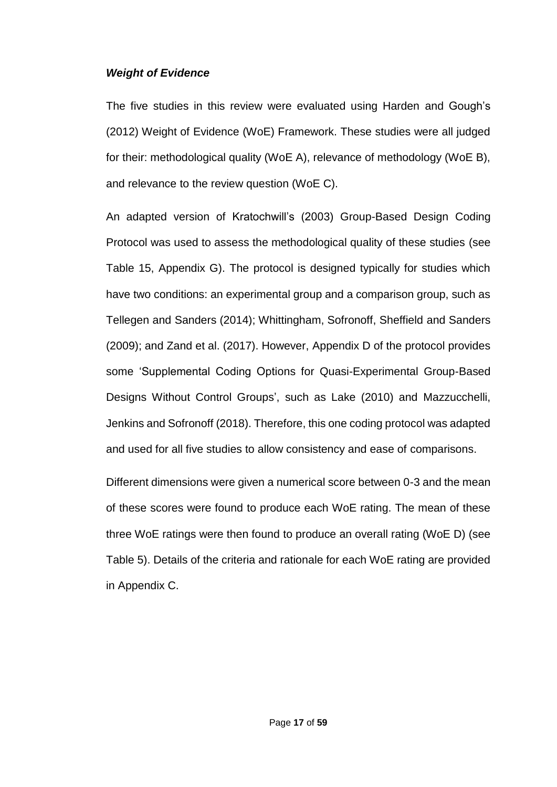### *Weight of Evidence*

The five studies in this review were evaluated using Harden and Gough's (2012) Weight of Evidence (WoE) Framework. These studies were all judged for their: methodological quality (WoE A), relevance of methodology (WoE B), and relevance to the review question (WoE C).

An adapted version of Kratochwill's (2003) Group-Based Design Coding Protocol was used to assess the methodological quality of these studies (see Table 15, Appendix G). The protocol is designed typically for studies which have two conditions: an experimental group and a comparison group, such as Tellegen and Sanders (2014); Whittingham, Sofronoff, Sheffield and Sanders (2009); and Zand et al. (2017). However, Appendix D of the protocol provides some 'Supplemental Coding Options for Quasi-Experimental Group-Based Designs Without Control Groups', such as Lake (2010) and Mazzucchelli, Jenkins and Sofronoff (2018). Therefore, this one coding protocol was adapted and used for all five studies to allow consistency and ease of comparisons.

Different dimensions were given a numerical score between 0-3 and the mean of these scores were found to produce each WoE rating. The mean of these three WoE ratings were then found to produce an overall rating (WoE D) (see Table 5). Details of the criteria and rationale for each WoE rating are provided in Appendix C.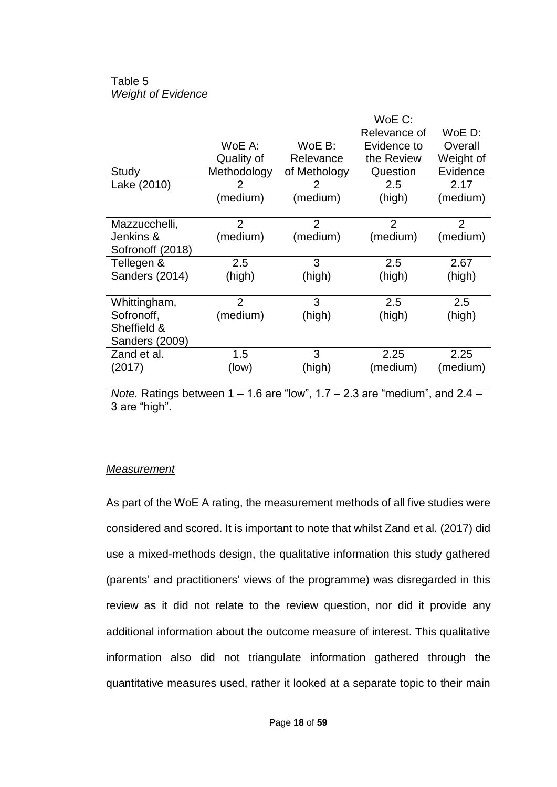## Table 5 *Weight of Evidence*

|                  |                |                | WoE C:         |                |
|------------------|----------------|----------------|----------------|----------------|
|                  |                |                | Relevance of   | WoE D:         |
|                  | WoE A:         | $WoE B$ :      | Evidence to    | Overall        |
|                  | Quality of     | Relevance      | the Review     | Weight of      |
| Study            | Methodology    | of Methology   | Question       | Evidence       |
| Lake (2010)      | 2              | 2              | 2.5            | 2.17           |
|                  | (medium)       | (medium)       | (high)         | (medium)       |
|                  |                |                |                |                |
| Mazzucchelli,    | $\overline{2}$ | $\overline{2}$ | $\overline{2}$ | $\overline{2}$ |
| Jenkins &        | (medium)       | (medium)       | (medium)       | (medium)       |
| Sofronoff (2018) |                |                |                |                |
| Tellegen &       | 2.5            | 3              | 2.5            | 2.67           |
| Sanders (2014)   | (high)         | (high)         | (high)         | (high)         |
|                  |                |                |                |                |
| Whittingham,     | $\overline{2}$ | 3              | 2.5            | 2.5            |
| Sofronoff,       | (medium)       | (high)         | (high)         | (high)         |
| Sheffield &      |                |                |                |                |
| Sanders (2009)   |                |                |                |                |
| Zand et al.      | 1.5            | 3              | 2.25           | 2.25           |
| (2017)           | (low)          | (high)         | (medium)       | (medium)       |
|                  |                |                |                |                |

*Note.* Ratings between 1 – 1.6 are "low", 1.7 – 2.3 are "medium", and 2.4 – 3 are "high".

### *Measurement*

As part of the WoE A rating, the measurement methods of all five studies were considered and scored. It is important to note that whilst Zand et al. (2017) did use a mixed-methods design, the qualitative information this study gathered (parents' and practitioners' views of the programme) was disregarded in this review as it did not relate to the review question, nor did it provide any additional information about the outcome measure of interest. This qualitative information also did not triangulate information gathered through the quantitative measures used, rather it looked at a separate topic to their main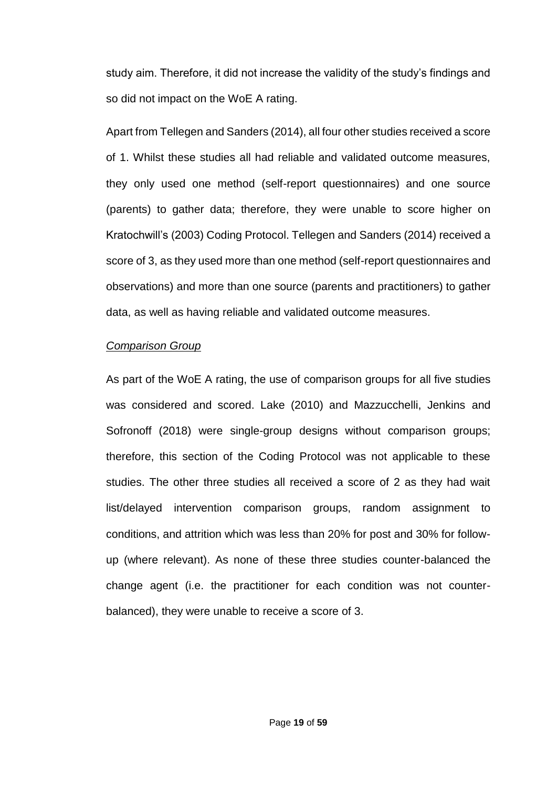study aim. Therefore, it did not increase the validity of the study's findings and so did not impact on the WoE A rating.

Apart from Tellegen and Sanders (2014), all four other studies received a score of 1. Whilst these studies all had reliable and validated outcome measures, they only used one method (self-report questionnaires) and one source (parents) to gather data; therefore, they were unable to score higher on Kratochwill's (2003) Coding Protocol. Tellegen and Sanders (2014) received a score of 3, as they used more than one method (self-report questionnaires and observations) and more than one source (parents and practitioners) to gather data, as well as having reliable and validated outcome measures.

### *Comparison Group*

As part of the WoE A rating, the use of comparison groups for all five studies was considered and scored. Lake (2010) and Mazzucchelli, Jenkins and Sofronoff (2018) were single-group designs without comparison groups; therefore, this section of the Coding Protocol was not applicable to these studies. The other three studies all received a score of 2 as they had wait list/delayed intervention comparison groups, random assignment to conditions, and attrition which was less than 20% for post and 30% for followup (where relevant). As none of these three studies counter-balanced the change agent (i.e. the practitioner for each condition was not counterbalanced), they were unable to receive a score of 3.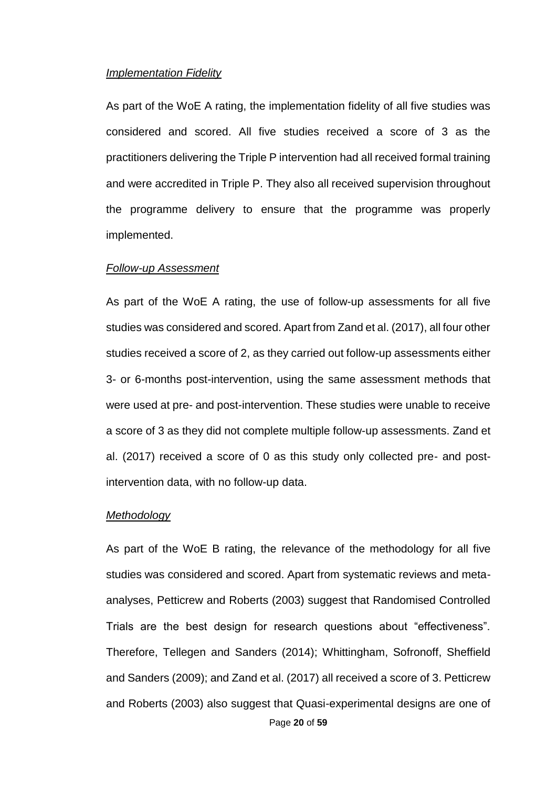#### *Implementation Fidelity*

As part of the WoE A rating, the implementation fidelity of all five studies was considered and scored. All five studies received a score of 3 as the practitioners delivering the Triple P intervention had all received formal training and were accredited in Triple P. They also all received supervision throughout the programme delivery to ensure that the programme was properly implemented.

#### *Follow-up Assessment*

As part of the WoE A rating, the use of follow-up assessments for all five studies was considered and scored. Apart from Zand et al. (2017), all four other studies received a score of 2, as they carried out follow-up assessments either 3- or 6-months post-intervention, using the same assessment methods that were used at pre- and post-intervention. These studies were unable to receive a score of 3 as they did not complete multiple follow-up assessments. Zand et al. (2017) received a score of 0 as this study only collected pre- and postintervention data, with no follow-up data.

#### *Methodology*

Page **20** of **59** As part of the WoE B rating, the relevance of the methodology for all five studies was considered and scored. Apart from systematic reviews and metaanalyses, Petticrew and Roberts (2003) suggest that Randomised Controlled Trials are the best design for research questions about "effectiveness". Therefore, Tellegen and Sanders (2014); Whittingham, Sofronoff, Sheffield and Sanders (2009); and Zand et al. (2017) all received a score of 3. Petticrew and Roberts (2003) also suggest that Quasi-experimental designs are one of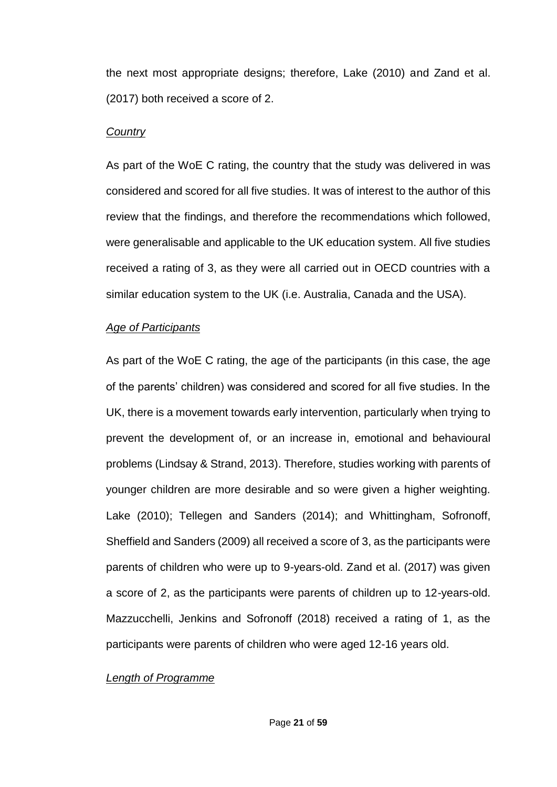the next most appropriate designs; therefore, Lake (2010) and Zand et al. (2017) both received a score of 2.

### *Country*

As part of the WoE C rating, the country that the study was delivered in was considered and scored for all five studies. It was of interest to the author of this review that the findings, and therefore the recommendations which followed, were generalisable and applicable to the UK education system. All five studies received a rating of 3, as they were all carried out in OECD countries with a similar education system to the UK (i.e. Australia, Canada and the USA).

### *Age of Participants*

As part of the WoE C rating, the age of the participants (in this case, the age of the parents' children) was considered and scored for all five studies. In the UK, there is a movement towards early intervention, particularly when trying to prevent the development of, or an increase in, emotional and behavioural problems (Lindsay & Strand, 2013). Therefore, studies working with parents of younger children are more desirable and so were given a higher weighting. Lake (2010); Tellegen and Sanders (2014); and Whittingham, Sofronoff, Sheffield and Sanders (2009) all received a score of 3, as the participants were parents of children who were up to 9-years-old. Zand et al. (2017) was given a score of 2, as the participants were parents of children up to 12-years-old. Mazzucchelli, Jenkins and Sofronoff (2018) received a rating of 1, as the participants were parents of children who were aged 12-16 years old.

### *Length of Programme*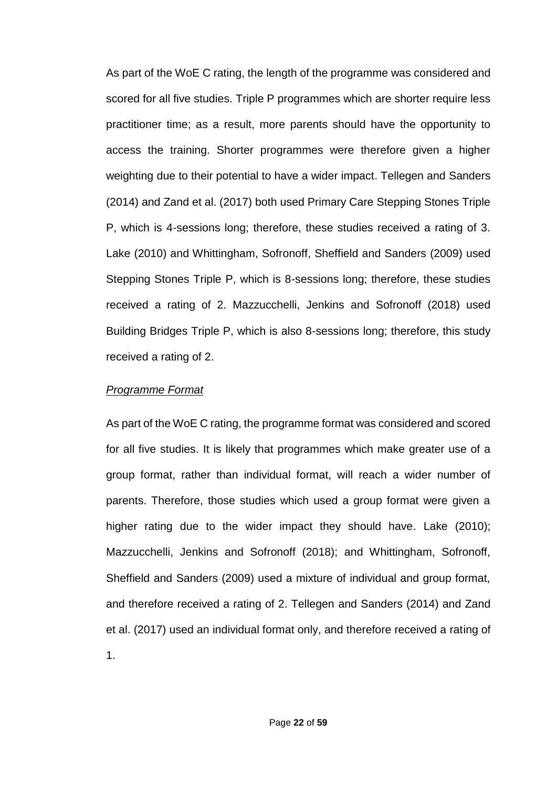As part of the WoE C rating, the length of the programme was considered and scored for all five studies. Triple P programmes which are shorter require less practitioner time; as a result, more parents should have the opportunity to access the training. Shorter programmes were therefore given a higher weighting due to their potential to have a wider impact. Tellegen and Sanders (2014) and Zand et al. (2017) both used Primary Care Stepping Stones Triple P, which is 4-sessions long; therefore, these studies received a rating of 3. Lake (2010) and Whittingham, Sofronoff, Sheffield and Sanders (2009) used Stepping Stones Triple P, which is 8-sessions long; therefore, these studies received a rating of 2. Mazzucchelli, Jenkins and Sofronoff (2018) used Building Bridges Triple P, which is also 8-sessions long; therefore, this study received a rating of 2.

### *Programme Format*

As part of the WoE C rating, the programme format was considered and scored for all five studies. It is likely that programmes which make greater use of a group format, rather than individual format, will reach a wider number of parents. Therefore, those studies which used a group format were given a higher rating due to the wider impact they should have. Lake (2010); Mazzucchelli, Jenkins and Sofronoff (2018); and Whittingham, Sofronoff, Sheffield and Sanders (2009) used a mixture of individual and group format, and therefore received a rating of 2. Tellegen and Sanders (2014) and Zand et al. (2017) used an individual format only, and therefore received a rating of 1.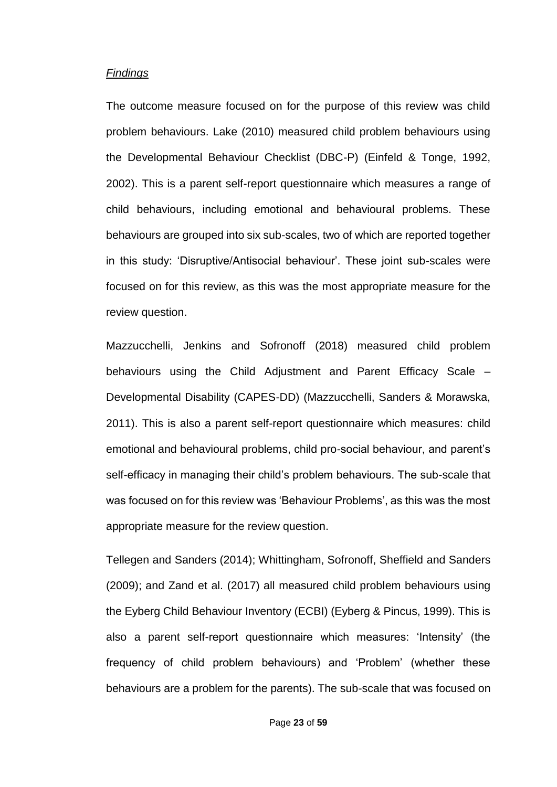#### *Findings*

The outcome measure focused on for the purpose of this review was child problem behaviours. Lake (2010) measured child problem behaviours using the Developmental Behaviour Checklist (DBC-P) (Einfeld & Tonge, 1992, 2002). This is a parent self-report questionnaire which measures a range of child behaviours, including emotional and behavioural problems. These behaviours are grouped into six sub-scales, two of which are reported together in this study: 'Disruptive/Antisocial behaviour'. These joint sub-scales were focused on for this review, as this was the most appropriate measure for the review question.

Mazzucchelli, Jenkins and Sofronoff (2018) measured child problem behaviours using the Child Adjustment and Parent Efficacy Scale – Developmental Disability (CAPES-DD) (Mazzucchelli, Sanders & Morawska, 2011). This is also a parent self-report questionnaire which measures: child emotional and behavioural problems, child pro-social behaviour, and parent's self-efficacy in managing their child's problem behaviours. The sub-scale that was focused on for this review was 'Behaviour Problems', as this was the most appropriate measure for the review question.

Tellegen and Sanders (2014); Whittingham, Sofronoff, Sheffield and Sanders (2009); and Zand et al. (2017) all measured child problem behaviours using the Eyberg Child Behaviour Inventory (ECBI) (Eyberg & Pincus, 1999). This is also a parent self-report questionnaire which measures: 'Intensity' (the frequency of child problem behaviours) and 'Problem' (whether these behaviours are a problem for the parents). The sub-scale that was focused on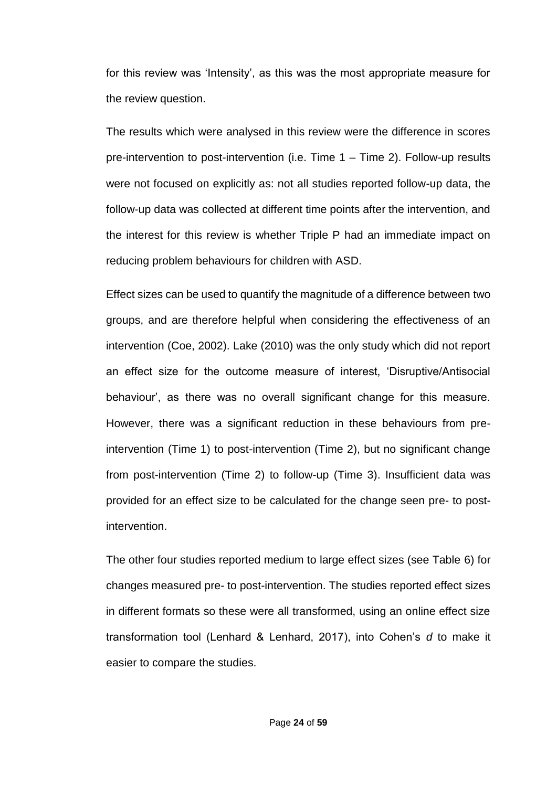for this review was 'Intensity', as this was the most appropriate measure for the review question.

The results which were analysed in this review were the difference in scores pre-intervention to post-intervention (i.e. Time 1 – Time 2). Follow-up results were not focused on explicitly as: not all studies reported follow-up data, the follow-up data was collected at different time points after the intervention, and the interest for this review is whether Triple P had an immediate impact on reducing problem behaviours for children with ASD.

Effect sizes can be used to quantify the magnitude of a difference between two groups, and are therefore helpful when considering the effectiveness of an intervention (Coe, 2002). Lake (2010) was the only study which did not report an effect size for the outcome measure of interest, 'Disruptive/Antisocial behaviour', as there was no overall significant change for this measure. However, there was a significant reduction in these behaviours from preintervention (Time 1) to post-intervention (Time 2), but no significant change from post-intervention (Time 2) to follow-up (Time 3). Insufficient data was provided for an effect size to be calculated for the change seen pre- to postintervention.

The other four studies reported medium to large effect sizes (see Table 6) for changes measured pre- to post-intervention. The studies reported effect sizes in different formats so these were all transformed, using an online effect size transformation tool (Lenhard & Lenhard, 2017), into Cohen's *d* to make it easier to compare the studies.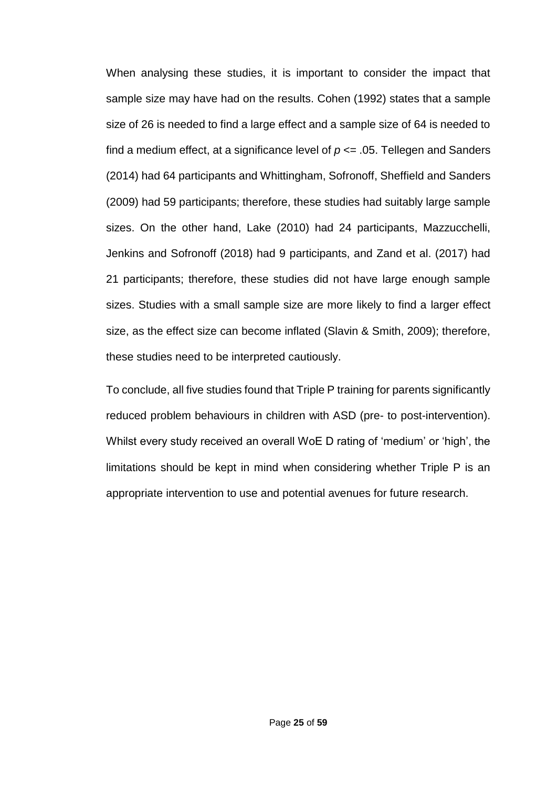When analysing these studies, it is important to consider the impact that sample size may have had on the results. Cohen (1992) states that a sample size of 26 is needed to find a large effect and a sample size of 64 is needed to find a medium effect, at a significance level of  $p \le 0.05$ . Tellegen and Sanders (2014) had 64 participants and Whittingham, Sofronoff, Sheffield and Sanders (2009) had 59 participants; therefore, these studies had suitably large sample sizes. On the other hand, Lake (2010) had 24 participants, Mazzucchelli, Jenkins and Sofronoff (2018) had 9 participants, and Zand et al. (2017) had 21 participants; therefore, these studies did not have large enough sample sizes. Studies with a small sample size are more likely to find a larger effect size, as the effect size can become inflated (Slavin & Smith, 2009); therefore, these studies need to be interpreted cautiously.

To conclude, all five studies found that Triple P training for parents significantly reduced problem behaviours in children with ASD (pre- to post-intervention). Whilst every study received an overall WoE D rating of 'medium' or 'high', the limitations should be kept in mind when considering whether Triple P is an appropriate intervention to use and potential avenues for future research.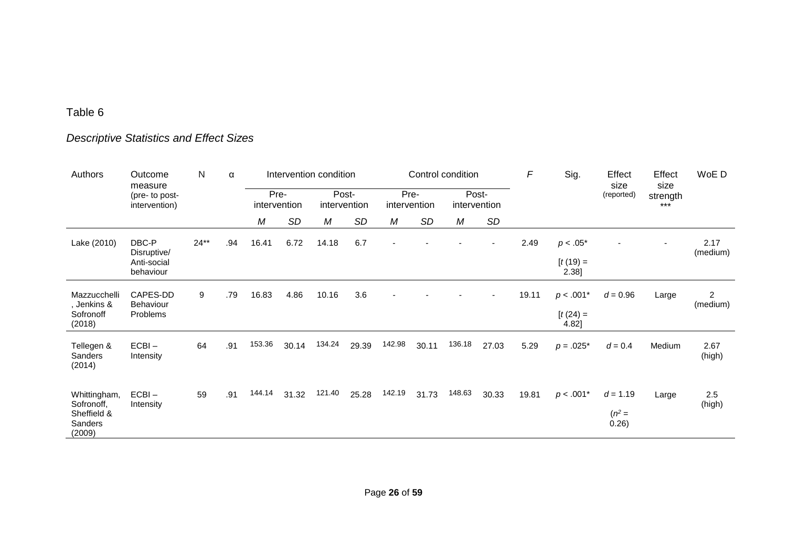# Table 6

# *Descriptive Statistics and Effect Sizes*

| Authors                                                               | Outcome<br>measure                               | N      | α   | Intervention condition<br>Control condition |           |        |                       |                      |           | F      | Sig.                  | Effect<br>size | Effect<br>size                     | WoE D                           |                   |                            |
|-----------------------------------------------------------------------|--------------------------------------------------|--------|-----|---------------------------------------------|-----------|--------|-----------------------|----------------------|-----------|--------|-----------------------|----------------|------------------------------------|---------------------------------|-------------------|----------------------------|
|                                                                       | (pre- to post-<br>intervention)                  |        |     | intervention                                | Pre-      |        | Post-<br>intervention | Pre-<br>intervention |           |        | Post-<br>intervention |                |                                    | (reported)                      | strength<br>$***$ |                            |
|                                                                       |                                                  |        |     | М                                           | <b>SD</b> | M      | <b>SD</b>             | М                    | <b>SD</b> | М      | SD                    |                |                                    |                                 |                   |                            |
| Lake (2010)                                                           | DBC-P<br>Disruptive/<br>Anti-social<br>behaviour | $24**$ | .94 | 16.41                                       | 6.72      | 14.18  | 6.7                   |                      |           |        |                       | 2.49           | $p < .05*$<br>$[t(19) =$<br>2.38]  |                                 |                   | 2.17<br>(medium)           |
| Mazzucchelli<br>, Jenkins &<br>Sofronoff<br>(2018)                    | CAPES-DD<br><b>Behaviour</b><br>Problems         | 9      | .79 | 16.83                                       | 4.86      | 10.16  | 3.6                   |                      |           |        |                       | 19.11          | $p < .001*$<br>$[t(24) =$<br>4.82] | $d = 0.96$                      | Large             | $\overline{c}$<br>(medium) |
| Tellegen &<br><b>Sanders</b><br>(2014)                                | $ECBI -$<br>Intensity                            | 64     | .91 | 153.36                                      | 30.14     | 134.24 | 29.39                 | 142.98               | 30.11     | 136.18 | 27.03                 | 5.29           | $p = .025*$                        | $d = 0.4$                       | Medium            | 2.67<br>(high)             |
| Whittingham,<br>Sofronoff,<br>Sheffield &<br><b>Sanders</b><br>(2009) | $ECBI -$<br>Intensity                            | 59     | .91 | 144.14                                      | 31.32     | 121.40 | 25.28                 | 142.19               | 31.73     | 148.63 | 30.33                 | 19.81          | $p < .001*$                        | $d = 1.19$<br>$(n^2 =$<br>0.26) | Large             | 2.5<br>(high)              |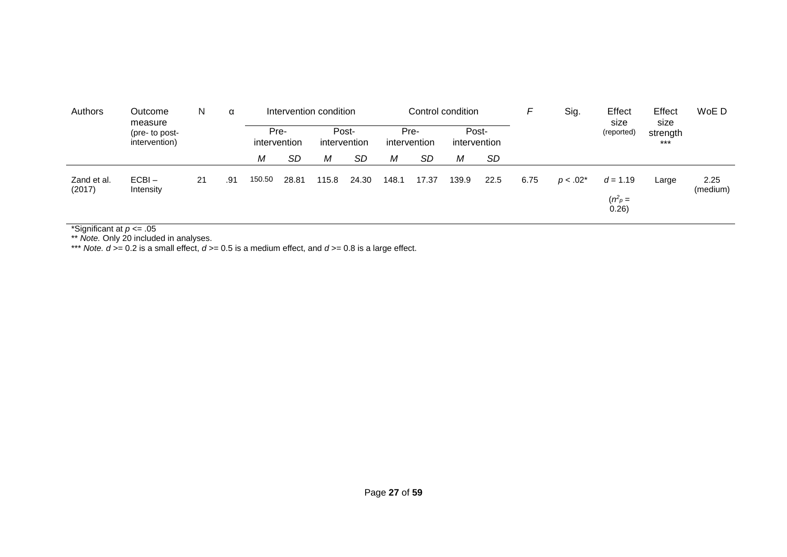| Authors               | Outcome<br>measure<br>(pre- to post-<br>intervention) | N. |     |        |           | α            | Intervention condition |       |                       | Control condition    |           |                       |             | F                                 | Sig.  | Effect<br>size    | Effect<br>size | WoE D |
|-----------------------|-------------------------------------------------------|----|-----|--------|-----------|--------------|------------------------|-------|-----------------------|----------------------|-----------|-----------------------|-------------|-----------------------------------|-------|-------------------|----------------|-------|
|                       |                                                       |    |     |        |           | intervention | Pre-                   |       | Post-<br>intervention | Pre-<br>intervention |           | Post-<br>intervention |             |                                   |       | (reported)<br>*** | strength       |       |
|                       |                                                       |    |     | М      | <b>SD</b> | М            | <b>SD</b>              | Μ     | <b>SD</b>             | Μ                    | <b>SD</b> |                       |             |                                   |       |                   |                |       |
| Zand et al.<br>(2017) | $ECBI -$<br>Intensity                                 | 21 | .91 | 150.50 | 28.81     | 115.8        | 24.30                  | 148.1 | 17.37                 | 139.9                | 22.5      | 6.75                  | $p < .02^*$ | $d = 1.19$<br>$(n^2 p =$<br>0.26) | Large | 2.25<br>(medium)  |                |       |

\*Significant at *p* <= .05

\*\* *Note.* Only 20 included in analyses.

\*\*\* *Note. d* >= 0.2 is a small effect, *d* >= 0.5 is a medium effect, and *d* >= 0.8 is a large effect.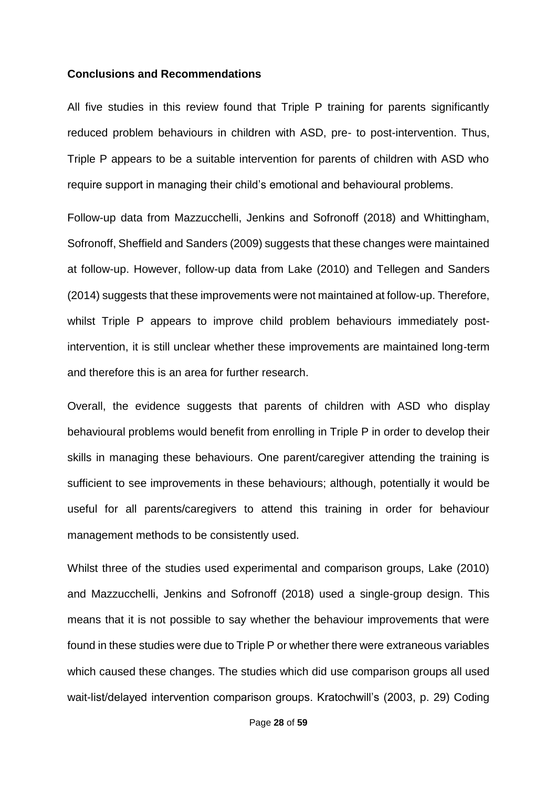#### **Conclusions and Recommendations**

All five studies in this review found that Triple P training for parents significantly reduced problem behaviours in children with ASD, pre- to post-intervention. Thus, Triple P appears to be a suitable intervention for parents of children with ASD who require support in managing their child's emotional and behavioural problems.

Follow-up data from Mazzucchelli, Jenkins and Sofronoff (2018) and Whittingham, Sofronoff, Sheffield and Sanders (2009) suggests that these changes were maintained at follow-up. However, follow-up data from Lake (2010) and Tellegen and Sanders (2014) suggests that these improvements were not maintained at follow-up. Therefore, whilst Triple P appears to improve child problem behaviours immediately postintervention, it is still unclear whether these improvements are maintained long-term and therefore this is an area for further research.

Overall, the evidence suggests that parents of children with ASD who display behavioural problems would benefit from enrolling in Triple P in order to develop their skills in managing these behaviours. One parent/caregiver attending the training is sufficient to see improvements in these behaviours; although, potentially it would be useful for all parents/caregivers to attend this training in order for behaviour management methods to be consistently used.

Whilst three of the studies used experimental and comparison groups, Lake (2010) and Mazzucchelli, Jenkins and Sofronoff (2018) used a single-group design. This means that it is not possible to say whether the behaviour improvements that were found in these studies were due to Triple P or whether there were extraneous variables which caused these changes. The studies which did use comparison groups all used wait-list/delayed intervention comparison groups. Kratochwill's (2003, p. 29) Coding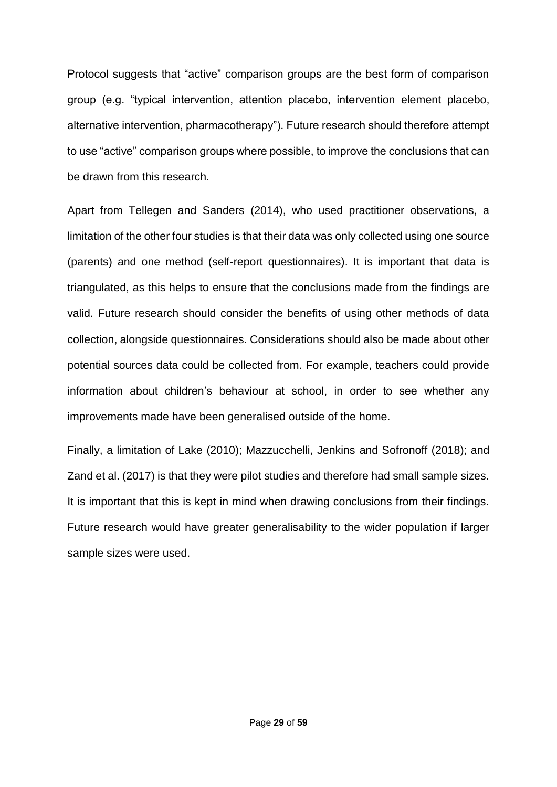Protocol suggests that "active" comparison groups are the best form of comparison group (e.g. "typical intervention, attention placebo, intervention element placebo, alternative intervention, pharmacotherapy"). Future research should therefore attempt to use "active" comparison groups where possible, to improve the conclusions that can be drawn from this research.

Apart from Tellegen and Sanders (2014), who used practitioner observations, a limitation of the other four studies is that their data was only collected using one source (parents) and one method (self-report questionnaires). It is important that data is triangulated, as this helps to ensure that the conclusions made from the findings are valid. Future research should consider the benefits of using other methods of data collection, alongside questionnaires. Considerations should also be made about other potential sources data could be collected from. For example, teachers could provide information about children's behaviour at school, in order to see whether any improvements made have been generalised outside of the home.

Finally, a limitation of Lake (2010); Mazzucchelli, Jenkins and Sofronoff (2018); and Zand et al. (2017) is that they were pilot studies and therefore had small sample sizes. It is important that this is kept in mind when drawing conclusions from their findings. Future research would have greater generalisability to the wider population if larger sample sizes were used.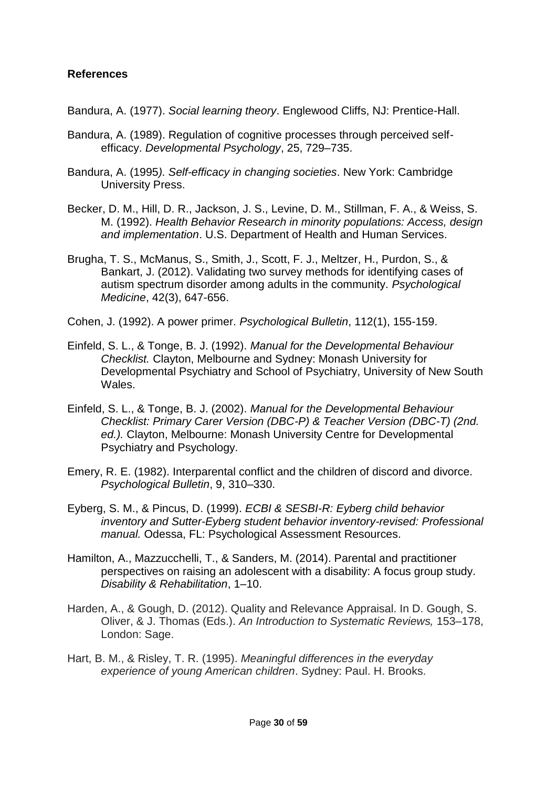## **References**

Bandura, A. (1977). *Social learning theory*. Englewood Cliffs, NJ: Prentice-Hall.

- Bandura, A. (1989). Regulation of cognitive processes through perceived selfefficacy. *Developmental Psychology*, 25, 729–735.
- Bandura, A. (1995*). Self-efficacy in changing societies*. New York: Cambridge University Press.
- Becker, D. M., Hill, D. R., Jackson, J. S., Levine, D. M., Stillman, F. A., & Weiss, S. M. (1992). *Health Behavior Research in minority populations: Access, design and implementation*. U.S. Department of Health and Human Services.
- Brugha, T. S., McManus, S., Smith, J., Scott, F. J., Meltzer, H., Purdon, S., & Bankart, J. (2012). Validating two survey methods for identifying cases of autism spectrum disorder among adults in the community. *Psychological Medicine*, 42(3), 647-656.
- Cohen, J. (1992). A power primer. *Psychological Bulletin*, 112(1), 155-159.
- Einfeld, S. L., & Tonge, B. J. (1992). *Manual for the Developmental Behaviour Checklist.* Clayton, Melbourne and Sydney: Monash University for Developmental Psychiatry and School of Psychiatry, University of New South Wales.
- Einfeld, S. L., & Tonge, B. J. (2002). *Manual for the Developmental Behaviour Checklist: Primary Carer Version (DBC-P) & Teacher Version (DBC-T) (2nd. ed.).* Clayton, Melbourne: Monash University Centre for Developmental Psychiatry and Psychology.
- Emery, R. E. (1982). Interparental conflict and the children of discord and divorce. *Psychological Bulletin*, 9, 310–330.
- Eyberg, S. M., & Pincus, D. (1999). *ECBI & SESBI-R: Eyberg child behavior inventory and Sutter-Eyberg student behavior inventory-revised: Professional manual.* Odessa, FL: Psychological Assessment Resources.
- Hamilton, A., Mazzucchelli, T., & Sanders, M. (2014). Parental and practitioner perspectives on raising an adolescent with a disability: A focus group study. *Disability & Rehabilitation*, 1–10.
- Harden, A., & Gough, D. (2012). Quality and Relevance Appraisal. In D. Gough, S. Oliver, & J. Thomas (Eds.). *An Introduction to Systematic Reviews,* 153–178, London: Sage.
- Hart, B. M., & Risley, T. R. (1995). *Meaningful differences in the everyday experience of young American children*. Sydney: Paul. H. Brooks.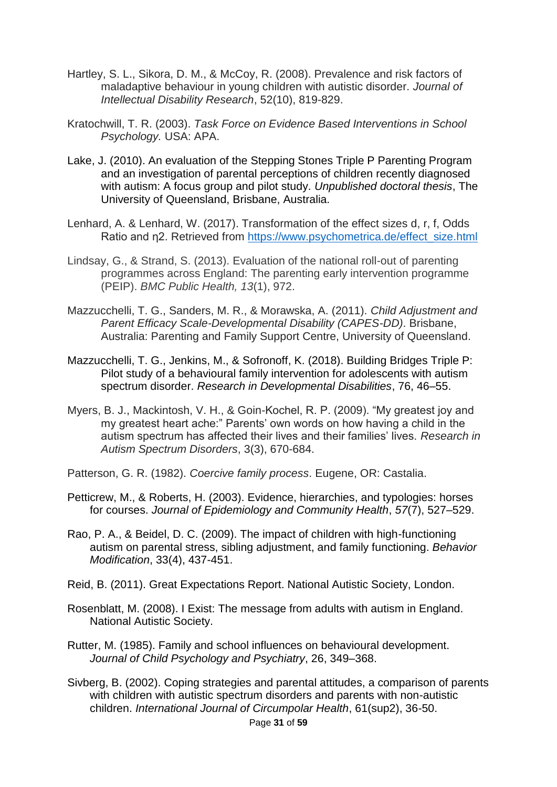- Hartley, S. L., Sikora, D. M., & McCoy, R. (2008). Prevalence and risk factors of maladaptive behaviour in young children with autistic disorder. *Journal of Intellectual Disability Research*, 52(10), 819-829.
- Kratochwill, T. R. (2003). *Task Force on Evidence Based Interventions in School Psychology.* USA: APA.
- Lake, J. (2010). An evaluation of the Stepping Stones Triple P Parenting Program and an investigation of parental perceptions of children recently diagnosed with autism: A focus group and pilot study. *Unpublished doctoral thesis*, The University of Queensland, Brisbane, Australia.
- Lenhard, A. & Lenhard, W. (2017). Transformation of the effect sizes d, r, f, Odds Ratio and η2. Retrieved from [https://www.psychometrica.de/effect\\_size.html](https://www.psychometrica.de/effect_size.html)
- Lindsay, G., & Strand, S. (2013). Evaluation of the national roll-out of parenting programmes across England: The parenting early intervention programme (PEIP). *BMC Public Health, 13*(1), 972.
- Mazzucchelli, T. G., Sanders, M. R., & Morawska, A. (2011). *Child Adjustment and Parent Efficacy Scale-Developmental Disability (CAPES-DD)*. Brisbane, Australia: Parenting and Family Support Centre, University of Queensland.
- Mazzucchelli, T. G., Jenkins, M., & Sofronoff, K. (2018). Building Bridges Triple P: Pilot study of a behavioural family intervention for adolescents with autism spectrum disorder. *Research in Developmental Disabilities*, 76, 46–55.
- Myers, B. J., Mackintosh, V. H., & Goin-Kochel, R. P. (2009). "My greatest joy and my greatest heart ache:" Parents' own words on how having a child in the autism spectrum has affected their lives and their families' lives. *Research in Autism Spectrum Disorders*, 3(3), 670-684.
- Patterson, G. R. (1982). *Coercive family process*. Eugene, OR: Castalia.
- Petticrew, M., & Roberts, H. (2003). Evidence, hierarchies, and typologies: horses for courses. *Journal of Epidemiology and Community Health*, *57*(7), 527–529.
- Rao, P. A., & Beidel, D. C. (2009). The impact of children with high-functioning autism on parental stress, sibling adjustment, and family functioning. *Behavior Modification*, 33(4), 437-451.
- Reid, B. (2011). Great Expectations Report. National Autistic Society, London.
- Rosenblatt, M. (2008). I Exist: The message from adults with autism in England. National Autistic Society.
- Rutter, M. (1985). Family and school influences on behavioural development. *Journal of Child Psychology and Psychiatry*, 26, 349–368.
- Sivberg, B. (2002). Coping strategies and parental attitudes, a comparison of parents with children with autistic spectrum disorders and parents with non-autistic children. *International Journal of Circumpolar Health*, 61(sup2), 36-50.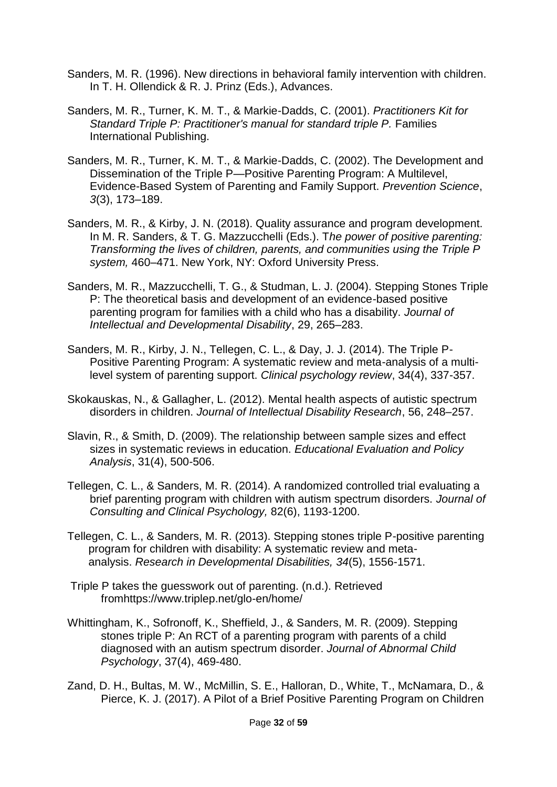- Sanders, M. R. (1996). New directions in behavioral family intervention with children. In T. H. Ollendick & R. J. Prinz (Eds.), Advances.
- Sanders, M. R., Turner, K. M. T., & Markie-Dadds, C. (2001). *Practitioners Kit for Standard Triple P: Practitioner's manual for standard triple P.* Families International Publishing.
- Sanders, M. R., Turner, K. M. T., & Markie-Dadds, C. (2002). The Development and Dissemination of the Triple P—Positive Parenting Program: A Multilevel, Evidence-Based System of Parenting and Family Support. *Prevention Science*, *3*(3), 173–189.
- Sanders, M. R., & Kirby, J. N. (2018). Quality assurance and program development. In M. R. Sanders, & T. G. Mazzucchelli (Eds.). T*he power of positive parenting: Transforming the lives of children, parents, and communities using the Triple P system,* 460–471. New York, NY: Oxford University Press.
- Sanders, M. R., Mazzucchelli, T. G., & Studman, L. J. (2004). Stepping Stones Triple P: The theoretical basis and development of an evidence-based positive parenting program for families with a child who has a disability. *Journal of Intellectual and Developmental Disability*, 29, 265–283.
- Sanders, M. R., Kirby, J. N., Tellegen, C. L., & Day, J. J. (2014). The Triple P-Positive Parenting Program: A systematic review and meta-analysis of a multilevel system of parenting support. *Clinical psychology review*, 34(4), 337-357.
- Skokauskas, N., & Gallagher, L. (2012). Mental health aspects of autistic spectrum disorders in children. *Journal of Intellectual Disability Research*, 56, 248–257.
- Slavin, R., & Smith, D. (2009). The relationship between sample sizes and effect sizes in systematic reviews in education. *Educational Evaluation and Policy Analysis*, 31(4), 500-506.
- Tellegen, C. L., & Sanders, M. R. (2014). A randomized controlled trial evaluating a brief parenting program with children with autism spectrum disorders. *Journal of Consulting and Clinical Psychology,* 82(6), 1193-1200.
- Tellegen, C. L., & Sanders, M. R. (2013). Stepping stones triple P-positive parenting program for children with disability: A systematic review and metaanalysis. *Research in Developmental Disabilities, 34*(5), 1556-1571.
- Triple P takes the guesswork out of parenting. (n.d.). Retrieved fromhttps://www.triplep.net/glo-en/home/
- Whittingham, K., Sofronoff, K., Sheffield, J., & Sanders, M. R. (2009). Stepping stones triple P: An RCT of a parenting program with parents of a child diagnosed with an autism spectrum disorder. *Journal of Abnormal Child Psychology*, 37(4), 469-480.
- Zand, D. H., Bultas, M. W., McMillin, S. E., Halloran, D., White, T., McNamara, D., & Pierce, K. J. (2017). A Pilot of a Brief Positive Parenting Program on Children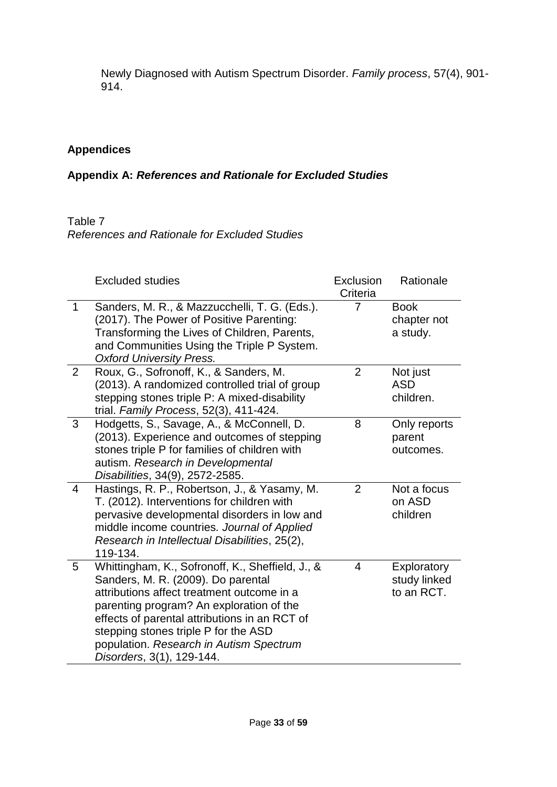Newly Diagnosed with Autism Spectrum Disorder. *Family process*, 57(4), 901- 914.

# **Appendices**

# **Appendix A:** *References and Rationale for Excluded Studies*

# Table 7

*References and Rationale for Excluded Studies*

|                | <b>Excluded studies</b>                                                                                                                                                                                                                                                                                                                           | Exclusion<br>Criteria | Rationale                                 |
|----------------|---------------------------------------------------------------------------------------------------------------------------------------------------------------------------------------------------------------------------------------------------------------------------------------------------------------------------------------------------|-----------------------|-------------------------------------------|
| 1              | Sanders, M. R., & Mazzucchelli, T. G. (Eds.).<br>(2017). The Power of Positive Parenting:<br>Transforming the Lives of Children, Parents,<br>and Communities Using the Triple P System.<br><b>Oxford University Press.</b>                                                                                                                        |                       | <b>Book</b><br>chapter not<br>a study.    |
| $\overline{2}$ | Roux, G., Sofronoff, K., & Sanders, M.<br>(2013). A randomized controlled trial of group<br>stepping stones triple P: A mixed-disability<br>trial. Family Process, 52(3), 411-424.                                                                                                                                                                | $\overline{2}$        | Not just<br><b>ASD</b><br>children.       |
| 3              | Hodgetts, S., Savage, A., & McConnell, D.<br>(2013). Experience and outcomes of stepping<br>stones triple P for families of children with<br>autism. Research in Developmental<br>Disabilities, 34(9), 2572-2585.                                                                                                                                 | 8                     | Only reports<br>parent<br>outcomes.       |
| 4              | Hastings, R. P., Robertson, J., & Yasamy, M.<br>T. (2012). Interventions for children with<br>pervasive developmental disorders in low and<br>middle income countries. Journal of Applied<br>Research in Intellectual Disabilities, 25(2),<br>119-134.                                                                                            | $\overline{2}$        | Not a focus<br>on ASD<br>children         |
| 5              | Whittingham, K., Sofronoff, K., Sheffield, J., &<br>Sanders, M. R. (2009). Do parental<br>attributions affect treatment outcome in a<br>parenting program? An exploration of the<br>effects of parental attributions in an RCT of<br>stepping stones triple P for the ASD<br>population. Research in Autism Spectrum<br>Disorders, 3(1), 129-144. | 4                     | Exploratory<br>study linked<br>to an RCT. |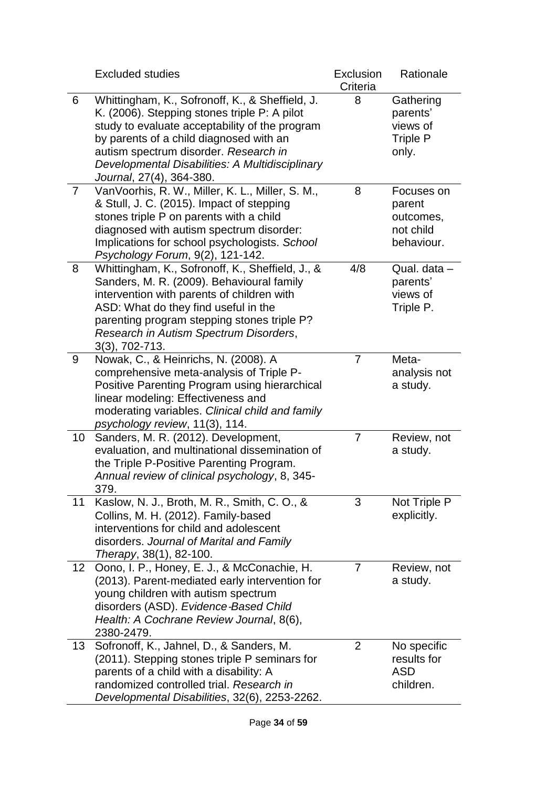|    | <b>Excluded studies</b>                                                                                                                                                                                                                                                                                              | Exclusion<br>Criteria | Rationale                                                     |
|----|----------------------------------------------------------------------------------------------------------------------------------------------------------------------------------------------------------------------------------------------------------------------------------------------------------------------|-----------------------|---------------------------------------------------------------|
| 6  | Whittingham, K., Sofronoff, K., & Sheffield, J.<br>K. (2006). Stepping stones triple P: A pilot<br>study to evaluate acceptability of the program<br>by parents of a child diagnosed with an<br>autism spectrum disorder. Research in<br>Developmental Disabilities: A Multidisciplinary<br>Journal, 27(4), 364-380. | 8                     | Gathering<br>parents'<br>views of<br><b>Triple P</b><br>only. |
| 7  | VanVoorhis, R. W., Miller, K. L., Miller, S. M.,<br>& Stull, J. C. (2015). Impact of stepping<br>stones triple P on parents with a child<br>diagnosed with autism spectrum disorder:<br>Implications for school psychologists. School<br>Psychology Forum, 9(2), 121-142.                                            | 8                     | Focuses on<br>parent<br>outcomes,<br>not child<br>behaviour.  |
| 8  | Whittingham, K., Sofronoff, K., Sheffield, J., &<br>Sanders, M. R. (2009). Behavioural family<br>intervention with parents of children with<br>ASD: What do they find useful in the<br>parenting program stepping stones triple P?<br>Research in Autism Spectrum Disorders,<br>$3(3)$ , $702 - 713$ .               | 4/8                   | Qual. data -<br>parents'<br>views of<br>Triple P.             |
| 9  | Nowak, C., & Heinrichs, N. (2008). A<br>comprehensive meta-analysis of Triple P-<br>Positive Parenting Program using hierarchical<br>linear modeling: Effectiveness and<br>moderating variables. Clinical child and family<br>psychology review, 11(3), 114.                                                         | 7                     | Meta-<br>analysis not<br>a study.                             |
| 10 | Sanders, M. R. (2012). Development,<br>evaluation, and multinational dissemination of<br>the Triple P-Positive Parenting Program.<br>Annual review of clinical psychology, 8, 345-<br>379.                                                                                                                           | 7                     | Review, not<br>a study.                                       |
| 11 | Kaslow, N. J., Broth, M. R., Smith, C. O., &<br>Collins, M. H. (2012). Family-based<br>interventions for child and adolescent<br>disorders. Journal of Marital and Family<br><i>Therapy</i> , 38(1), 82-100.                                                                                                         | 3                     | Not Triple P<br>explicitly.                                   |
| 12 | Oono, I. P., Honey, E. J., & McConachie, H.<br>(2013). Parent-mediated early intervention for<br>young children with autism spectrum<br>disorders (ASD). Evidence-Based Child<br>Health: A Cochrane Review Journal, 8(6),<br>2380-2479.                                                                              | 7                     | Review, not<br>a study.                                       |
| 13 | Sofronoff, K., Jahnel, D., & Sanders, M.<br>(2011). Stepping stones triple P seminars for<br>parents of a child with a disability: A<br>randomized controlled trial. Research in<br>Developmental Disabilities, 32(6), 2253-2262.                                                                                    | $\overline{2}$        | No specific<br>results for<br><b>ASD</b><br>children.         |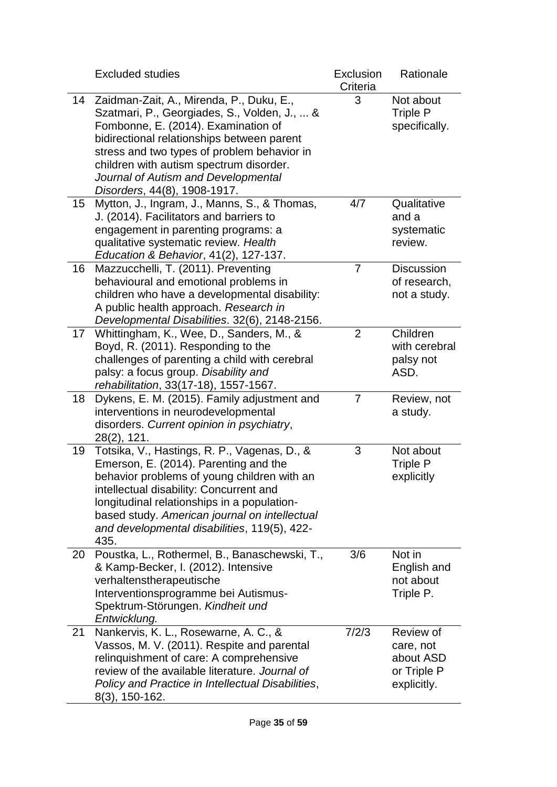|    | <b>Excluded studies</b>                                                                                                                                                                                                                                                                                                                        | Exclusion<br>Criteria | Rationale                                                         |
|----|------------------------------------------------------------------------------------------------------------------------------------------------------------------------------------------------------------------------------------------------------------------------------------------------------------------------------------------------|-----------------------|-------------------------------------------------------------------|
| 14 | Zaidman-Zait, A., Mirenda, P., Duku, E.,<br>Szatmari, P., Georgiades, S., Volden, J.,  &<br>Fombonne, E. (2014). Examination of<br>bidirectional relationships between parent<br>stress and two types of problem behavior in<br>children with autism spectrum disorder.<br>Journal of Autism and Developmental<br>Disorders, 44(8), 1908-1917. | 3                     | Not about<br><b>Triple P</b><br>specifically.                     |
| 15 | Mytton, J., Ingram, J., Manns, S., & Thomas,<br>J. (2014). Facilitators and barriers to<br>engagement in parenting programs: a<br>qualitative systematic review. Health<br>Education & Behavior, 41(2), 127-137.                                                                                                                               | 4/7                   | Qualitative<br>and a<br>systematic<br>review.                     |
| 16 | Mazzucchelli, T. (2011). Preventing<br>behavioural and emotional problems in<br>children who have a developmental disability:<br>A public health approach. Research in<br>Developmental Disabilities. 32(6), 2148-2156.                                                                                                                        | $\overline{7}$        | <b>Discussion</b><br>of research,<br>not a study.                 |
| 17 | Whittingham, K., Wee, D., Sanders, M., &<br>Boyd, R. (2011). Responding to the<br>challenges of parenting a child with cerebral<br>palsy: a focus group. Disability and<br>rehabilitation, 33(17-18), 1557-1567.                                                                                                                               | $\overline{2}$        | Children<br>with cerebral<br>palsy not<br>ASD.                    |
| 18 | Dykens, E. M. (2015). Family adjustment and<br>interventions in neurodevelopmental<br>disorders. Current opinion in psychiatry,<br>28(2), 121.                                                                                                                                                                                                 | 7                     | Review, not<br>a study.                                           |
| 19 | Totsika, V., Hastings, R. P., Vagenas, D., &<br>Emerson, E. (2014). Parenting and the<br>behavior problems of young children with an<br>intellectual disability: Concurrent and<br>longitudinal relationships in a population-<br>based study. American journal on intellectual<br>and developmental disabilities, 119(5), 422-<br>435.        | 3                     | Not about<br>Triple P<br>explicitly                               |
| 20 | Poustka, L., Rothermel, B., Banaschewski, T.,<br>& Kamp-Becker, I. (2012). Intensive<br>verhaltenstherapeutische<br>Interventionsprogramme bei Autismus-<br>Spektrum-Störungen. Kindheit und<br>Entwicklung.                                                                                                                                   | 3/6                   | Not in<br>English and<br>not about<br>Triple P.                   |
| 21 | Nankervis, K. L., Rosewarne, A. C., &<br>Vassos, M. V. (2011). Respite and parental<br>relinquishment of care: A comprehensive<br>review of the available literature. Journal of<br>Policy and Practice in Intellectual Disabilities,<br>$8(3)$ , 150-162.                                                                                     | 7/2/3                 | Review of<br>care, not<br>about ASD<br>or Triple P<br>explicitly. |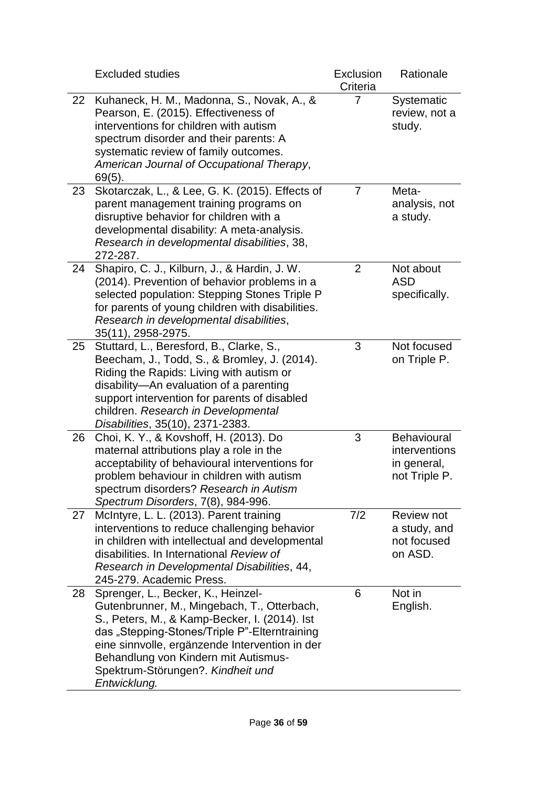|    | <b>Excluded studies</b>                                                                                                                                                                                                                                                                                                            | Exclusion<br>Criteria | Rationale                                                           |
|----|------------------------------------------------------------------------------------------------------------------------------------------------------------------------------------------------------------------------------------------------------------------------------------------------------------------------------------|-----------------------|---------------------------------------------------------------------|
| 22 | Kuhaneck, H. M., Madonna, S., Novak, A., &<br>Pearson, E. (2015). Effectiveness of<br>interventions for children with autism<br>spectrum disorder and their parents: A<br>systematic review of family outcomes.<br>American Journal of Occupational Therapy,<br>$69(5)$ .                                                          | 7                     | Systematic<br>review, not a<br>study.                               |
| 23 | Skotarczak, L., & Lee, G. K. (2015). Effects of<br>parent management training programs on<br>disruptive behavior for children with a<br>developmental disability: A meta-analysis.<br>Research in developmental disabilities, 38,<br>272-287.                                                                                      | $\overline{7}$        | Meta-<br>analysis, not<br>a study.                                  |
| 24 | Shapiro, C. J., Kilburn, J., & Hardin, J. W.<br>(2014). Prevention of behavior problems in a<br>selected population: Stepping Stones Triple P<br>for parents of young children with disabilities.<br>Research in developmental disabilities,<br>35(11), 2958-2975.                                                                 | $\overline{2}$        | Not about<br><b>ASD</b><br>specifically.                            |
| 25 | Stuttard, L., Beresford, B., Clarke, S.,<br>Beecham, J., Todd, S., & Bromley, J. (2014).<br>Riding the Rapids: Living with autism or<br>disability-An evaluation of a parenting<br>support intervention for parents of disabled<br>children. Research in Developmental<br>Disabilities, 35(10), 2371-2383.                         | 3                     | Not focused<br>on Triple P.                                         |
| 26 | Choi, K. Y., & Kovshoff, H. (2013). Do<br>maternal attributions play a role in the<br>acceptability of behavioural interventions for<br>problem behaviour in children with autism<br>spectrum disorders? Research in Autism<br>Spectrum Disorders, 7(8), 984-996.                                                                  | 3                     | <b>Behavioural</b><br>interventions<br>in general,<br>not Triple P. |
| 27 | McIntyre, L. L. (2013). Parent training<br>interventions to reduce challenging behavior<br>in children with intellectual and developmental<br>disabilities. In International Review of<br>Research in Developmental Disabilities, 44,<br>245-279. Academic Press.                                                                  | 7/2                   | Review not<br>a study, and<br>not focused<br>on ASD.                |
| 28 | Sprenger, L., Becker, K., Heinzel-<br>Gutenbrunner, M., Mingebach, T., Otterbach,<br>S., Peters, M., & Kamp-Becker, I. (2014). Ist<br>das "Stepping-Stones/Triple P"-Elterntraining<br>eine sinnvolle, ergänzende Intervention in der<br>Behandlung von Kindern mit Autismus-<br>Spektrum-Störungen?. Kindheit und<br>Entwicklung. | 6                     | Not in<br>English.                                                  |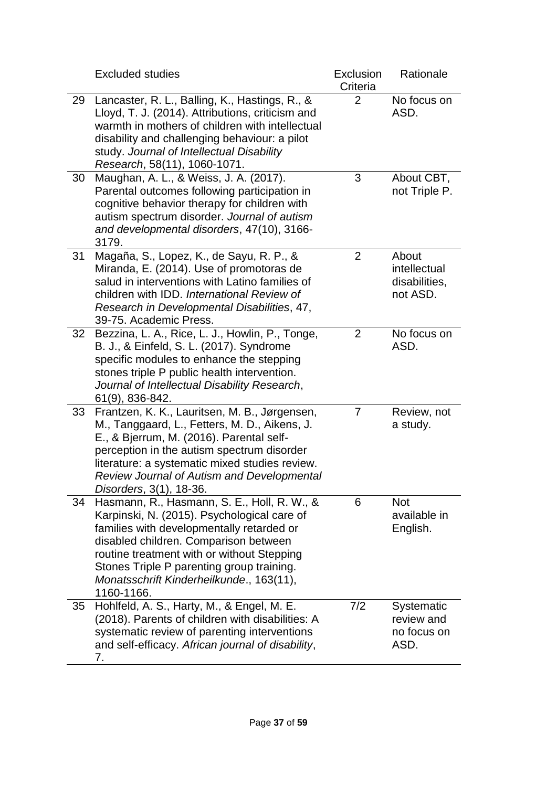|    | <b>Excluded studies</b>                                                                                                                                                                                                                                                                                                               | Exclusion<br>Criteria | Rationale                                          |
|----|---------------------------------------------------------------------------------------------------------------------------------------------------------------------------------------------------------------------------------------------------------------------------------------------------------------------------------------|-----------------------|----------------------------------------------------|
| 29 | Lancaster, R. L., Balling, K., Hastings, R., &<br>Lloyd, T. J. (2014). Attributions, criticism and<br>warmth in mothers of children with intellectual<br>disability and challenging behaviour: a pilot<br>study. Journal of Intellectual Disability<br>Research, 58(11), 1060-1071.                                                   | 2                     | No focus on<br>ASD.                                |
| 30 | Maughan, A. L., & Weiss, J. A. (2017).<br>Parental outcomes following participation in<br>cognitive behavior therapy for children with<br>autism spectrum disorder. Journal of autism<br>and developmental disorders, 47(10), 3166-<br>3179.                                                                                          | 3                     | About CBT,<br>not Triple P.                        |
| 31 | Magaña, S., Lopez, K., de Sayu, R. P., &<br>Miranda, E. (2014). Use of promotoras de<br>salud in interventions with Latino families of<br>children with IDD. International Review of<br>Research in Developmental Disabilities, 47,<br>39-75. Academic Press.                                                                         | $\overline{2}$        | About<br>intellectual<br>disabilities,<br>not ASD. |
| 32 | Bezzina, L. A., Rice, L. J., Howlin, P., Tonge,<br>B. J., & Einfeld, S. L. (2017). Syndrome<br>specific modules to enhance the stepping<br>stones triple P public health intervention.<br>Journal of Intellectual Disability Research,<br>61(9), 836-842.                                                                             | 2                     | No focus on<br>ASD.                                |
| 33 | Frantzen, K. K., Lauritsen, M. B., Jørgensen,<br>M., Tanggaard, L., Fetters, M. D., Aikens, J.<br>E., & Bjerrum, M. (2016). Parental self-<br>perception in the autism spectrum disorder<br>literature: a systematic mixed studies review.<br><b>Review Journal of Autism and Developmental</b><br><i>Disorders</i> , 3(1), 18-36.    | $\overline{7}$        | Review, not<br>a study.                            |
| 34 | Hasmann, R., Hasmann, S. E., Holl, R. W., &<br>Karpinski, N. (2015). Psychological care of<br>families with developmentally retarded or<br>disabled children. Comparison between<br>routine treatment with or without Stepping<br>Stones Triple P parenting group training.<br>Monatsschrift Kinderheilkunde., 163(11),<br>1160-1166. | 6                     | <b>Not</b><br>available in<br>English.             |
| 35 | Hohlfeld, A. S., Harty, M., & Engel, M. E.<br>(2018). Parents of children with disabilities: A<br>systematic review of parenting interventions<br>and self-efficacy. African journal of disability,<br>7.                                                                                                                             | 7/2                   | Systematic<br>review and<br>no focus on<br>ASD.    |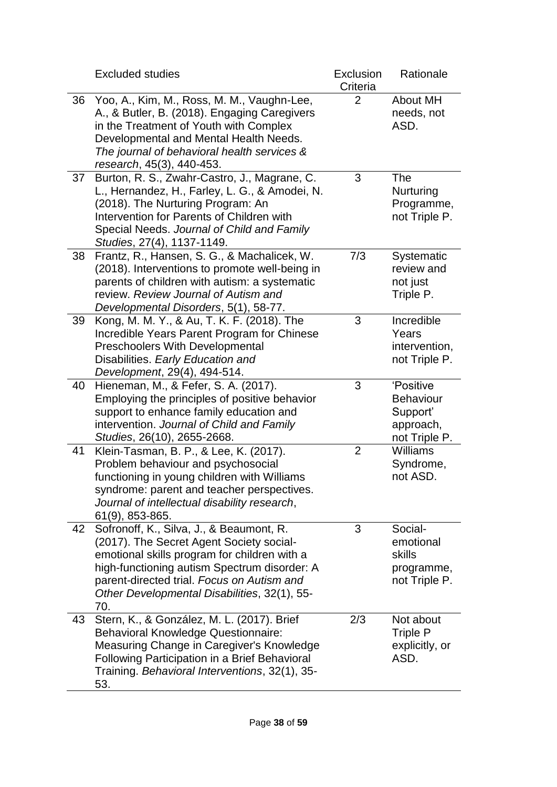|    | <b>Excluded studies</b>                                                                                                                                                                                                                                                                   | Exclusion<br>Criteria | Rationale                                                               |
|----|-------------------------------------------------------------------------------------------------------------------------------------------------------------------------------------------------------------------------------------------------------------------------------------------|-----------------------|-------------------------------------------------------------------------|
| 36 | Yoo, A., Kim, M., Ross, M. M., Vaughn-Lee,<br>A., & Butler, B. (2018). Engaging Caregivers<br>in the Treatment of Youth with Complex<br>Developmental and Mental Health Needs.<br>The journal of behavioral health services &<br>research, 45(3), 440-453.                                | 2                     | <b>About MH</b><br>needs, not<br>ASD.                                   |
| 37 | Burton, R. S., Zwahr-Castro, J., Magrane, C.<br>L., Hernandez, H., Farley, L. G., & Amodei, N.<br>(2018). The Nurturing Program: An<br>Intervention for Parents of Children with<br>Special Needs. Journal of Child and Family<br>Studies, 27(4), 1137-1149.                              | 3                     | <b>The</b><br>Nurturing<br>Programme,<br>not Triple P.                  |
| 38 | Frantz, R., Hansen, S. G., & Machalicek, W.<br>(2018). Interventions to promote well-being in<br>parents of children with autism: a systematic<br>review. Review Journal of Autism and<br>Developmental Disorders, 5(1), 58-77.                                                           | 7/3                   | Systematic<br>review and<br>not just<br>Triple P.                       |
| 39 | Kong, M. M. Y., & Au, T. K. F. (2018). The<br>Incredible Years Parent Program for Chinese<br><b>Preschoolers With Developmental</b><br>Disabilities. Early Education and<br>Development, 29(4), 494-514.                                                                                  | 3                     | Incredible<br>Years<br>intervention,<br>not Triple P.                   |
| 40 | Hieneman, M., & Fefer, S. A. (2017).<br>Employing the principles of positive behavior<br>support to enhance family education and<br>intervention. Journal of Child and Family<br>Studies, 26(10), 2655-2668.                                                                              | 3                     | 'Positive<br><b>Behaviour</b><br>Support'<br>approach,<br>not Triple P. |
| 41 | Klein-Tasman, B. P., & Lee, K. (2017).<br>Problem behaviour and psychosocial<br>functioning in young children with Williams<br>syndrome: parent and teacher perspectives.<br>Journal of intellectual disability research,<br>61(9), 853-865.                                              | $\overline{2}$        | <b>Williams</b><br>Syndrome,<br>not ASD.                                |
| 42 | Sofronoff, K., Silva, J., & Beaumont, R.<br>(2017). The Secret Agent Society social-<br>emotional skills program for children with a<br>high-functioning autism Spectrum disorder: A<br>parent-directed trial. Focus on Autism and<br>Other Developmental Disabilities, 32(1), 55-<br>70. | 3                     | Social-<br>emotional<br>skills<br>programme,<br>not Triple P.           |
| 43 | Stern, K., & González, M. L. (2017). Brief<br><b>Behavioral Knowledge Questionnaire:</b><br>Measuring Change in Caregiver's Knowledge<br>Following Participation in a Brief Behavioral<br>Training. Behavioral Interventions, 32(1), 35-<br>53.                                           | 2/3                   | Not about<br>Triple P<br>explicitly, or<br>ASD.                         |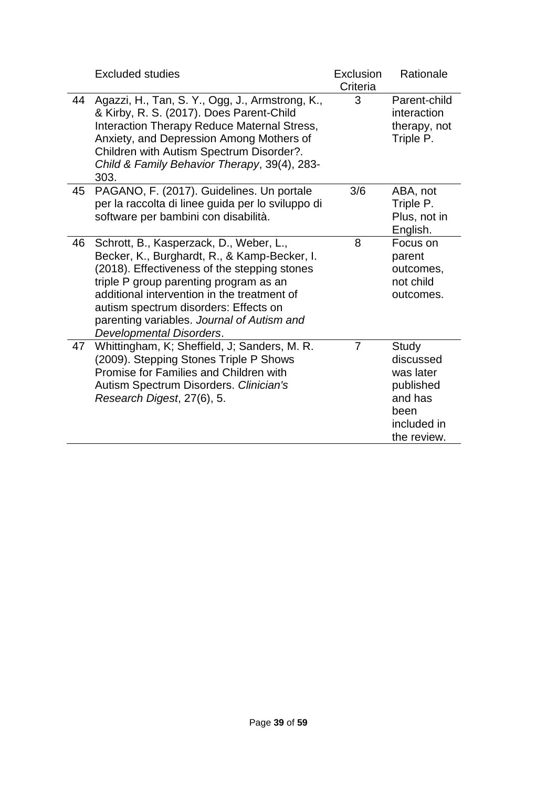|    | <b>Excluded studies</b>                                                                                                                                                                                                                                                                                                                             | Exclusion<br>Criteria | Rationale                                                                                     |
|----|-----------------------------------------------------------------------------------------------------------------------------------------------------------------------------------------------------------------------------------------------------------------------------------------------------------------------------------------------------|-----------------------|-----------------------------------------------------------------------------------------------|
| 44 | Agazzi, H., Tan, S. Y., Ogg, J., Armstrong, K.,<br>& Kirby, R. S. (2017). Does Parent-Child<br>Interaction Therapy Reduce Maternal Stress,<br>Anxiety, and Depression Among Mothers of<br>Children with Autism Spectrum Disorder?.<br>Child & Family Behavior Therapy, 39(4), 283-<br>303.                                                          | 3                     | Parent-child<br>interaction<br>therapy, not<br>Triple P.                                      |
| 45 | PAGANO, F. (2017). Guidelines. Un portale<br>per la raccolta di linee guida per lo sviluppo di<br>software per bambini con disabilità.                                                                                                                                                                                                              | 3/6                   | ABA, not<br>Triple P.<br>Plus, not in<br>English.                                             |
| 46 | Schrott, B., Kasperzack, D., Weber, L.,<br>Becker, K., Burghardt, R., & Kamp-Becker, I.<br>(2018). Effectiveness of the stepping stones<br>triple P group parenting program as an<br>additional intervention in the treatment of<br>autism spectrum disorders: Effects on<br>parenting variables. Journal of Autism and<br>Developmental Disorders. | 8                     | Focus on<br>parent<br>outcomes,<br>not child<br>outcomes.                                     |
| 47 | Whittingham, K; Sheffield, J; Sanders, M. R.<br>(2009). Stepping Stones Triple P Shows<br>Promise for Families and Children with<br>Autism Spectrum Disorders. Clinician's<br>Research Digest, 27(6), 5.                                                                                                                                            | $\overline{7}$        | Study<br>discussed<br>was later<br>published<br>and has<br>been<br>included in<br>the review. |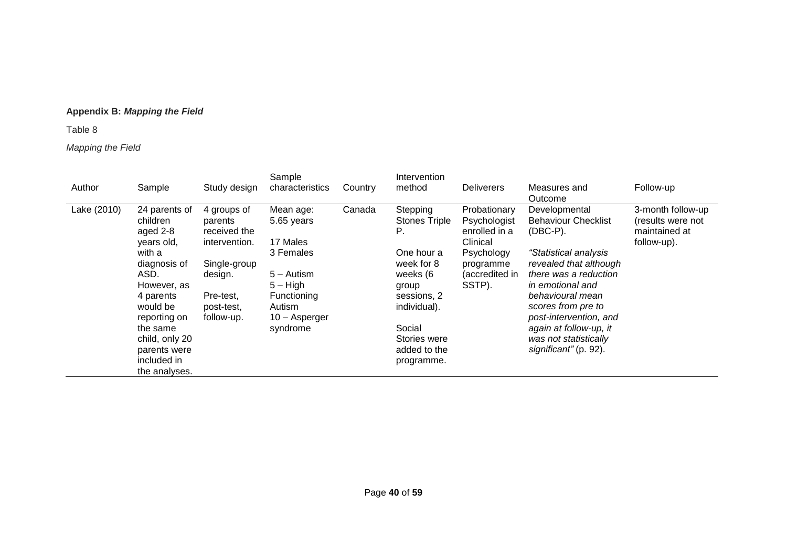### **Appendix B:** *Mapping the Field*

Table 8

### *Mapping the Field*

| Author      | Sample                                                                                                                                                                                                                      | Study design                                                                                                                | Sample<br>characteristics                                                                                                          | Country | Intervention<br>method                                                                                                                                                         | <b>Deliverers</b>                                                                                                | Measures and<br>Outcome                                                                                                                                                                                                                                                                                    | Follow-up                                                              |
|-------------|-----------------------------------------------------------------------------------------------------------------------------------------------------------------------------------------------------------------------------|-----------------------------------------------------------------------------------------------------------------------------|------------------------------------------------------------------------------------------------------------------------------------|---------|--------------------------------------------------------------------------------------------------------------------------------------------------------------------------------|------------------------------------------------------------------------------------------------------------------|------------------------------------------------------------------------------------------------------------------------------------------------------------------------------------------------------------------------------------------------------------------------------------------------------------|------------------------------------------------------------------------|
| Lake (2010) | 24 parents of<br>children<br>aged 2-8<br>years old,<br>with a<br>diagnosis of<br>ASD.<br>However, as<br>4 parents<br>would be<br>reporting on<br>the same<br>child, only 20<br>parents were<br>included in<br>the analyses. | 4 groups of<br>parents<br>received the<br>intervention.<br>Single-group<br>design.<br>Pre-test,<br>post-test,<br>follow-up. | Mean age:<br>5.65 years<br>17 Males<br>3 Females<br>5 – Autism<br>$5 - High$<br>Functioning<br>Autism<br>10 - Asperger<br>syndrome | Canada  | Stepping<br><b>Stones Triple</b><br>P.<br>One hour a<br>week for 8<br>weeks (6<br>group<br>sessions, 2<br>individual).<br>Social<br>Stories were<br>added to the<br>programme. | Probationary<br>Psychologist<br>enrolled in a<br>Clinical<br>Psychology<br>programme<br>(accredited in<br>SSTP). | Developmental<br><b>Behaviour Checklist</b><br>$(DBC-P)$ .<br>"Statistical analysis<br>revealed that although<br>there was a reduction<br>in emotional and<br>behavioural mean<br>scores from pre to<br>post-intervention, and<br>again at follow-up, it<br>was not statistically<br>significant" (p. 92). | 3-month follow-up<br>(results were not<br>maintained at<br>follow-up). |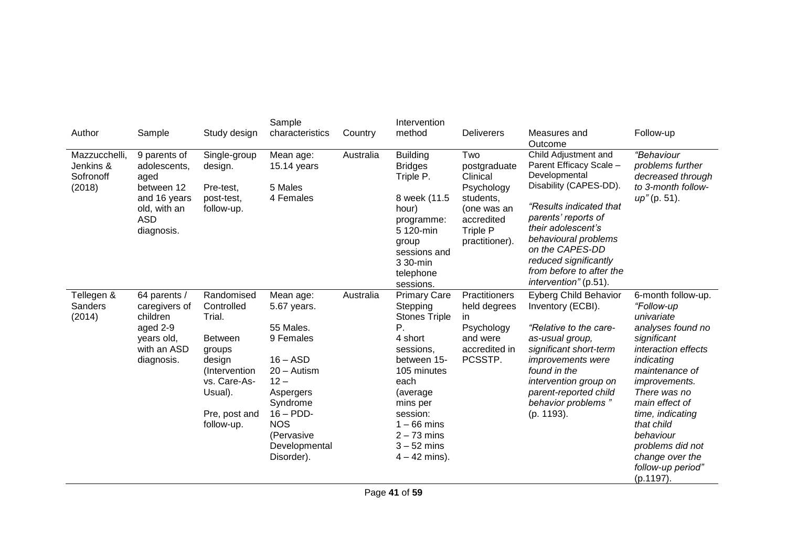| Author                                            | Sample                                                                                                         | Study design                                                                                                                                        | Sample<br>characteristics                                                                                                                                                                       | Country   | Intervention<br>method                                                                                                                                                                                                                 | <b>Deliverers</b>                                                                                                     | Measures and<br>Outcome                                                                                                                                                                                                                                                                     | Follow-up                                                                                                                                                                                                                                                                                                                   |
|---------------------------------------------------|----------------------------------------------------------------------------------------------------------------|-----------------------------------------------------------------------------------------------------------------------------------------------------|-------------------------------------------------------------------------------------------------------------------------------------------------------------------------------------------------|-----------|----------------------------------------------------------------------------------------------------------------------------------------------------------------------------------------------------------------------------------------|-----------------------------------------------------------------------------------------------------------------------|---------------------------------------------------------------------------------------------------------------------------------------------------------------------------------------------------------------------------------------------------------------------------------------------|-----------------------------------------------------------------------------------------------------------------------------------------------------------------------------------------------------------------------------------------------------------------------------------------------------------------------------|
| Mazzucchelli,<br>Jenkins &<br>Sofronoff<br>(2018) | 9 parents of<br>adolescents,<br>aged<br>between 12<br>and 16 years<br>old, with an<br><b>ASD</b><br>diagnosis. | Single-group<br>design.<br>Pre-test,<br>post-test,<br>follow-up.                                                                                    | Mean age:<br>$15.14$ years<br>5 Males<br>4 Females                                                                                                                                              | Australia | <b>Building</b><br><b>Bridges</b><br>Triple P.<br>8 week (11.5<br>hour)<br>programme:<br>5 120-min<br>group<br>sessions and<br>3 30-min<br>telephone<br>sessions.                                                                      | Two<br>postgraduate<br>Clinical<br>Psychology<br>students,<br>(one was an<br>accredited<br>Triple P<br>practitioner). | Child Adjustment and<br>Parent Efficacy Scale -<br>Developmental<br>Disability (CAPES-DD).<br>"Results indicated that<br>parents' reports of<br>their adolescent's<br>behavioural problems<br>on the CAPES-DD<br>reduced significantly<br>from before to after the<br>intervention" (p.51). | <i>"Behaviour</i><br>problems further<br>decreased through<br>to 3-month follow-<br>up" (p. 51).                                                                                                                                                                                                                            |
| Tellegen &<br>Sanders<br>(2014)                   | 64 parents /<br>caregivers of<br>children<br>aged 2-9<br>years old,<br>with an ASD<br>diagnosis.               | Randomised<br>Controlled<br>Trial.<br><b>Between</b><br>groups<br>design<br>(Intervention<br>vs. Care-As-<br>Usual).<br>Pre, post and<br>follow-up. | Mean age:<br>5.67 years.<br>55 Males.<br>9 Females<br>$16 - ASD$<br>$20 -$ Autism<br>$12 -$<br>Aspergers<br>Syndrome<br>$16 - PDD$ -<br><b>NOS</b><br>(Pervasive<br>Developmental<br>Disorder). | Australia | <b>Primary Care</b><br>Stepping<br><b>Stones Triple</b><br>Ρ.<br>4 short<br>sessions,<br>between 15-<br>105 minutes<br>each<br>(average)<br>mins per<br>session:<br>$1 - 66$ mins<br>$2 - 73$ mins<br>$3 - 52$ mins<br>$4 - 42$ mins). | Practitioners<br>held degrees<br>in<br>Psychology<br>and were<br>accredited in<br>PCSSTP.                             | <b>Eyberg Child Behavior</b><br>Inventory (ECBI).<br>"Relative to the care-<br>as-usual group,<br>significant short-term<br><i>improvements</i> were<br>found in the<br>intervention group on<br>parent-reported child<br>behavior problems"<br>(p. 1193).                                  | 6-month follow-up.<br>"Follow-up<br>univariate<br>analyses found no<br>significant<br>interaction effects<br>indicating<br>maintenance of<br><i>improvements.</i><br>There was no<br>main effect of<br>time, indicating<br>that child<br>behaviour<br>problems did not<br>change over the<br>follow-up period"<br>(p.1197). |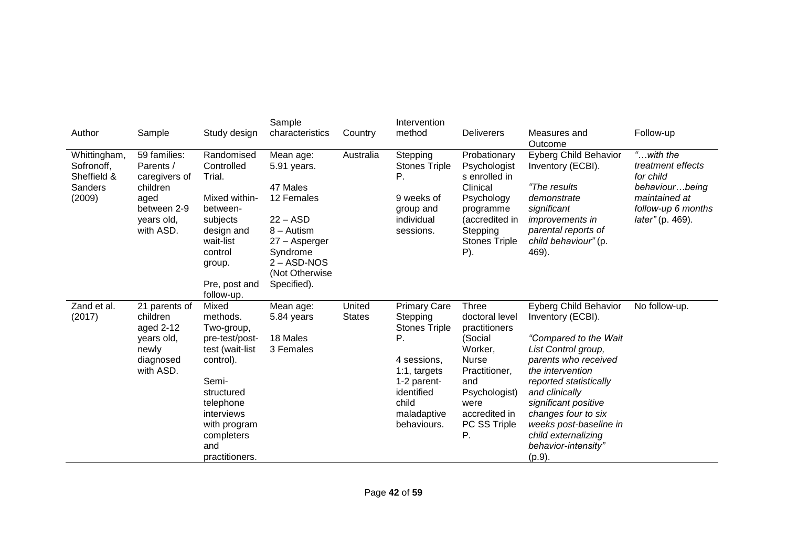| Author                                                         | Sample                                                                                                   | Study design                                                                                                                                                                               | Sample<br>characteristics                                                                                                                                     | Country                 | Intervention<br>method                                                                                                                                           | <b>Deliverers</b>                                                                                                                                                             | Measures and<br>Outcome                                                                                                                                                                                                                                                                                                    | Follow-up                                                                                                                           |
|----------------------------------------------------------------|----------------------------------------------------------------------------------------------------------|--------------------------------------------------------------------------------------------------------------------------------------------------------------------------------------------|---------------------------------------------------------------------------------------------------------------------------------------------------------------|-------------------------|------------------------------------------------------------------------------------------------------------------------------------------------------------------|-------------------------------------------------------------------------------------------------------------------------------------------------------------------------------|----------------------------------------------------------------------------------------------------------------------------------------------------------------------------------------------------------------------------------------------------------------------------------------------------------------------------|-------------------------------------------------------------------------------------------------------------------------------------|
| Whittingham,<br>Sofronoff,<br>Sheffield &<br>Sanders<br>(2009) | 59 families:<br>Parents /<br>caregivers of<br>children<br>aged<br>between 2-9<br>years old,<br>with ASD. | Randomised<br>Controlled<br>Trial.<br>Mixed within-<br>between-<br>subjects<br>design and<br>wait-list<br>control<br>group.<br>Pre, post and<br>follow-up.                                 | Mean age:<br>5.91 years.<br>47 Males<br>12 Females<br>$22 - ASD$<br>8 – Autism<br>27 - Asperger<br>Syndrome<br>$2 - ASD-NOS$<br>(Not Otherwise<br>Specified). | Australia               | Stepping<br><b>Stones Triple</b><br>Р.<br>9 weeks of<br>group and<br>individual<br>sessions.                                                                     | Probationary<br>Psychologist<br>s enrolled in<br>Clinical<br>Psychology<br>programme<br>(accredited in<br>Stepping<br><b>Stones Triple</b><br>P).                             | <b>Eyberg Child Behavior</b><br>Inventory (ECBI).<br>"The results<br>demonstrate<br>significant<br><i>improvements in</i><br>parental reports of<br>child behaviour" (p.<br>469).                                                                                                                                          | " $$ with the<br>treatment effects<br>for child<br>behaviourbeing<br>maintained at<br>follow-up 6 months<br><i>later"</i> (p. 469). |
| Zand et al.<br>(2017)                                          | 21 parents of<br>children<br>aged 2-12<br>years old,<br>newly<br>diagnosed<br>with ASD.                  | Mixed<br>methods.<br>Two-group,<br>pre-test/post-<br>test (wait-list<br>control).<br>Semi-<br>structured<br>telephone<br>interviews<br>with program<br>completers<br>and<br>practitioners. | Mean age:<br>5.84 years<br>18 Males<br>3 Females                                                                                                              | United<br><b>States</b> | <b>Primary Care</b><br>Stepping<br><b>Stones Triple</b><br>Ρ.<br>4 sessions,<br>1:1, targets<br>1-2 parent-<br>identified<br>child<br>maladaptive<br>behaviours. | <b>Three</b><br>doctoral level<br>practitioners<br>(Social<br>Worker,<br><b>Nurse</b><br>Practitioner,<br>and<br>Psychologist)<br>were<br>accredited in<br>PC SS Triple<br>Ρ. | <b>Eyberg Child Behavior</b><br>Inventory (ECBI).<br>"Compared to the Wait<br>List Control group,<br>parents who received<br>the intervention<br>reported statistically<br>and clinically<br>significant positive<br>changes four to six<br>weeks post-baseline in<br>child externalizing<br>behavior-intensity"<br>(p.9). | No follow-up.                                                                                                                       |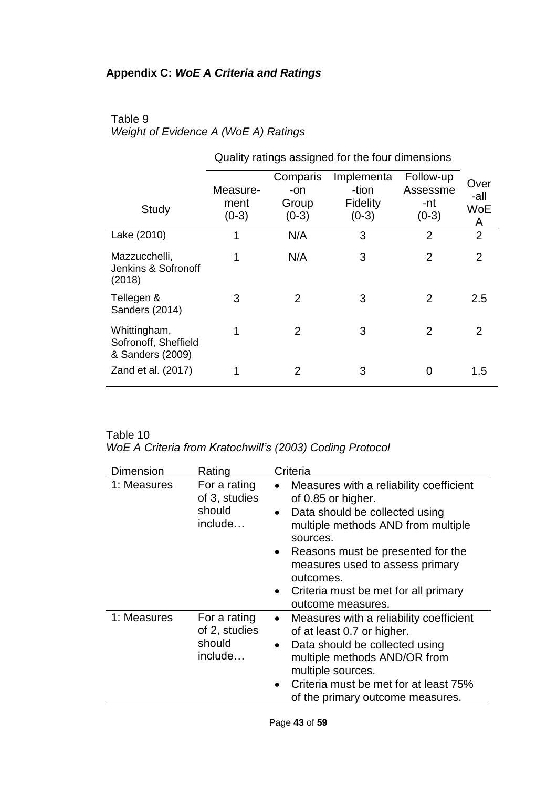# **Appendix C:** *WoE A Criteria and Ratings*

# Table 9 *Weight of Evidence A (WoE A) Ratings*

|                                                          | $10.000$ go aborget on the set of $\sim$ |                                     |                                                   |                                         |                          |
|----------------------------------------------------------|------------------------------------------|-------------------------------------|---------------------------------------------------|-----------------------------------------|--------------------------|
| Study                                                    | Measure-<br>ment<br>$(0-3)$              | Comparis<br>-on<br>Group<br>$(0-3)$ | Implementa<br>-tion<br><b>Fidelity</b><br>$(0-3)$ | Follow-up<br>Assessme<br>-nt<br>$(0-3)$ | Over<br>-all<br>WoE<br>A |
| Lake (2010)                                              | 1                                        | N/A                                 | 3                                                 | $\overline{2}$                          | $\overline{2}$           |
| Mazzucchelli,<br>Jenkins & Sofronoff<br>(2018)           | 1                                        | N/A                                 | 3                                                 | $\overline{2}$                          | $\overline{2}$           |
| Tellegen &<br>Sanders (2014)                             | 3                                        | $\overline{2}$                      | 3                                                 | 2                                       | 2.5                      |
| Whittingham,<br>Sofronoff, Sheffield<br>& Sanders (2009) | 1                                        | 2                                   | 3                                                 | 2                                       | $\overline{2}$           |
| Zand et al. (2017)                                       | 1                                        | 2                                   | 3                                                 | 0                                       | 1.5                      |

Quality ratings assigned for the four dimensions

### Table 10

# *WoE A Criteria from Kratochwill's (2003) Coding Protocol*

| <b>Dimension</b> | Rating                                             | Criteria                                                                                                                                                                                                                                                                                                                                                |
|------------------|----------------------------------------------------|---------------------------------------------------------------------------------------------------------------------------------------------------------------------------------------------------------------------------------------------------------------------------------------------------------------------------------------------------------|
| 1: Measures      | For a rating<br>of 3, studies<br>should<br>include | Measures with a reliability coefficient<br>$\bullet$<br>of 0.85 or higher.<br>Data should be collected using<br>$\bullet$<br>multiple methods AND from multiple<br>sources.<br>Reasons must be presented for the<br>$\bullet$<br>measures used to assess primary<br>outcomes.<br>Criteria must be met for all primary<br>$\bullet$<br>outcome measures. |
| 1: Measures      | For a rating<br>of 2, studies<br>should<br>include | Measures with a reliability coefficient<br>$\bullet$<br>of at least 0.7 or higher.<br>Data should be collected using<br>$\bullet$<br>multiple methods AND/OR from<br>multiple sources.<br>Criteria must be met for at least 75%<br>$\bullet$<br>of the primary outcome measures.                                                                        |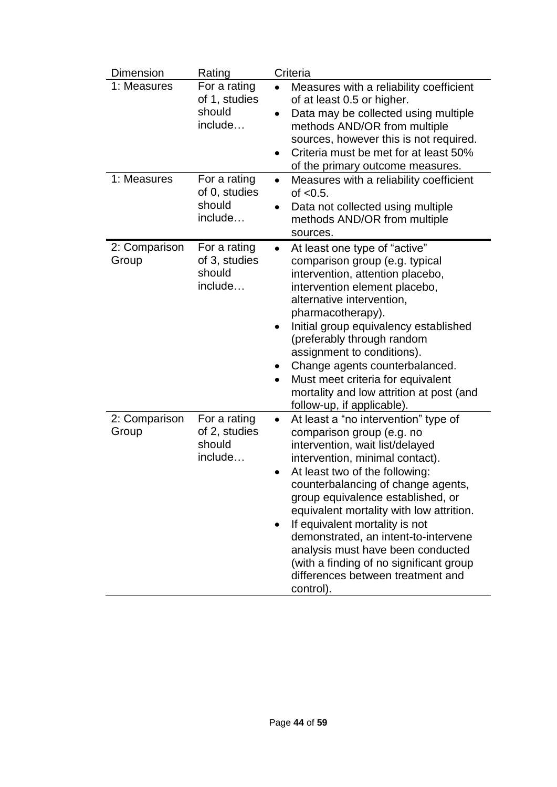| <b>Dimension</b>       | Rating                                             | Criteria                                                                                                                                                                                                                                                                                                                                                                                                                                                                                                     |
|------------------------|----------------------------------------------------|--------------------------------------------------------------------------------------------------------------------------------------------------------------------------------------------------------------------------------------------------------------------------------------------------------------------------------------------------------------------------------------------------------------------------------------------------------------------------------------------------------------|
| 1: Measures            | For a rating<br>of 1, studies<br>should<br>include | Measures with a reliability coefficient<br>$\bullet$<br>of at least 0.5 or higher.<br>Data may be collected using multiple<br>$\bullet$<br>methods AND/OR from multiple<br>sources, however this is not required.<br>Criteria must be met for at least 50%<br>$\bullet$<br>of the primary outcome measures.                                                                                                                                                                                                  |
| 1: Measures            | For a rating<br>of 0, studies<br>should<br>include | Measures with a reliability coefficient<br>of $< 0.5$ .<br>Data not collected using multiple<br>methods AND/OR from multiple<br>sources.                                                                                                                                                                                                                                                                                                                                                                     |
| 2: Comparison<br>Group | For a rating<br>of 3, studies<br>should<br>include | At least one type of "active"<br>$\bullet$<br>comparison group (e.g. typical<br>intervention, attention placebo,<br>intervention element placebo,<br>alternative intervention,<br>pharmacotherapy).<br>Initial group equivalency established<br>(preferably through random<br>assignment to conditions).<br>Change agents counterbalanced.<br>٠<br>Must meet criteria for equivalent<br>$\bullet$<br>mortality and low attrition at post (and<br>follow-up, if applicable).                                  |
| 2: Comparison<br>Group | For a rating<br>of 2, studies<br>should<br>include | At least a "no intervention" type of<br>comparison group (e.g. no<br>intervention, wait list/delayed<br>intervention, minimal contact).<br>At least two of the following:<br>counterbalancing of change agents,<br>group equivalence established, or<br>equivalent mortality with low attrition.<br>If equivalent mortality is not<br>demonstrated, an intent-to-intervene<br>analysis must have been conducted<br>(with a finding of no significant group<br>differences between treatment and<br>control). |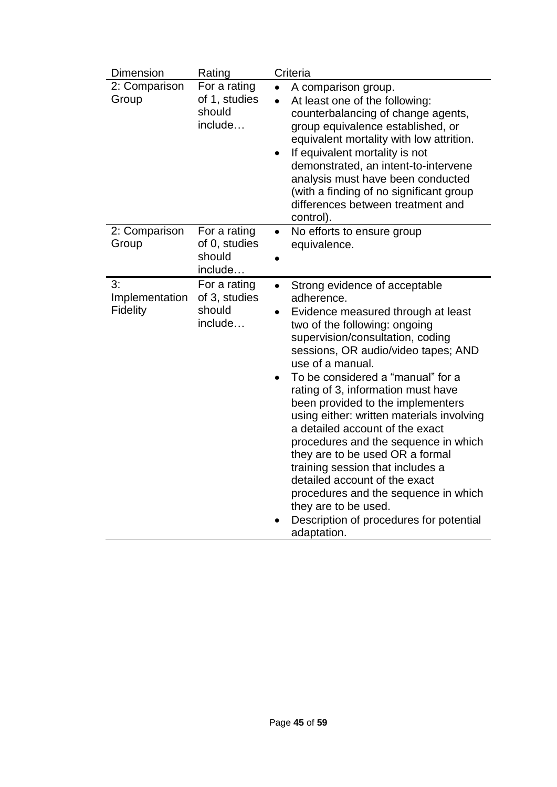| Dimension                               | Rating                                             | Criteria                                                                                                                                                                                                                                                                                                                                                                                                                                                                                                                                                                                                                                                                                                              |
|-----------------------------------------|----------------------------------------------------|-----------------------------------------------------------------------------------------------------------------------------------------------------------------------------------------------------------------------------------------------------------------------------------------------------------------------------------------------------------------------------------------------------------------------------------------------------------------------------------------------------------------------------------------------------------------------------------------------------------------------------------------------------------------------------------------------------------------------|
| 2: Comparison<br>Group                  | For a rating<br>of 1, studies<br>should<br>include | A comparison group.<br>At least one of the following:<br>counterbalancing of change agents,<br>group equivalence established, or<br>equivalent mortality with low attrition.<br>If equivalent mortality is not<br>$\bullet$<br>demonstrated, an intent-to-intervene<br>analysis must have been conducted<br>(with a finding of no significant group<br>differences between treatment and<br>control).                                                                                                                                                                                                                                                                                                                 |
| 2: Comparison<br>Group                  | For a rating<br>of 0, studies<br>should<br>include | No efforts to ensure group<br>$\bullet$<br>equivalence.                                                                                                                                                                                                                                                                                                                                                                                                                                                                                                                                                                                                                                                               |
| 3:<br>Implementation<br><b>Fidelity</b> | For a rating<br>of 3, studies<br>should<br>include | Strong evidence of acceptable<br>$\bullet$<br>adherence.<br>Evidence measured through at least<br>$\bullet$<br>two of the following: ongoing<br>supervision/consultation, coding<br>sessions, OR audio/video tapes; AND<br>use of a manual.<br>To be considered a "manual" for a<br>rating of 3, information must have<br>been provided to the implementers<br>using either: written materials involving<br>a detailed account of the exact<br>procedures and the sequence in which<br>they are to be used OR a formal<br>training session that includes a<br>detailed account of the exact<br>procedures and the sequence in which<br>they are to be used.<br>Description of procedures for potential<br>adaptation. |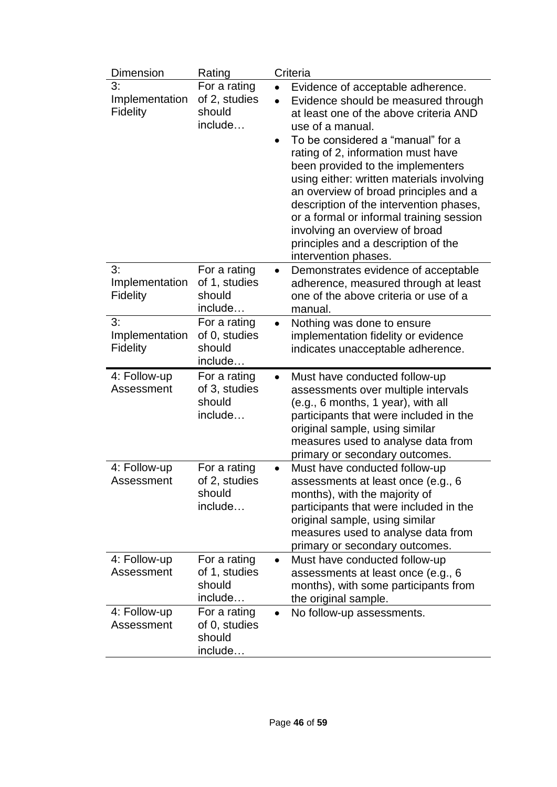| Dimension                               | Rating                                             |           | Criteria                                                                                                                                                                                                                                                                                                                                                                                                                                                                                                                             |
|-----------------------------------------|----------------------------------------------------|-----------|--------------------------------------------------------------------------------------------------------------------------------------------------------------------------------------------------------------------------------------------------------------------------------------------------------------------------------------------------------------------------------------------------------------------------------------------------------------------------------------------------------------------------------------|
| 3:<br>Implementation<br><b>Fidelity</b> | For a rating<br>of 2, studies<br>should<br>include |           | Evidence of acceptable adherence.<br>Evidence should be measured through<br>at least one of the above criteria AND<br>use of a manual.<br>To be considered a "manual" for a<br>rating of 2, information must have<br>been provided to the implementers<br>using either: written materials involving<br>an overview of broad principles and a<br>description of the intervention phases,<br>or a formal or informal training session<br>involving an overview of broad<br>principles and a description of the<br>intervention phases. |
| 3:<br>Implementation<br><b>Fidelity</b> | For a rating<br>of 1, studies<br>should<br>include |           | Demonstrates evidence of acceptable<br>adherence, measured through at least<br>one of the above criteria or use of a<br>manual.                                                                                                                                                                                                                                                                                                                                                                                                      |
| 3:<br>Implementation<br><b>Fidelity</b> | For a rating<br>of 0, studies<br>should<br>include | $\bullet$ | Nothing was done to ensure<br>implementation fidelity or evidence<br>indicates unacceptable adherence.                                                                                                                                                                                                                                                                                                                                                                                                                               |
| 4: Follow-up<br>Assessment              | For a rating<br>of 3, studies<br>should<br>include |           | Must have conducted follow-up<br>assessments over multiple intervals<br>(e.g., 6 months, 1 year), with all<br>participants that were included in the<br>original sample, using similar<br>measures used to analyse data from<br>primary or secondary outcomes.                                                                                                                                                                                                                                                                       |
| 4: Follow-up<br>Assessment              | For a rating<br>of 2, studies<br>should<br>include |           | Must have conducted follow-up<br>assessments at least once (e.g., 6<br>months), with the majority of<br>participants that were included in the<br>original sample, using similar<br>measures used to analyse data from<br>primary or secondary outcomes.                                                                                                                                                                                                                                                                             |
| 4: Follow-up<br>Assessment              | For a rating<br>of 1, studies<br>should<br>include |           | Must have conducted follow-up<br>assessments at least once (e.g., 6<br>months), with some participants from<br>the original sample.                                                                                                                                                                                                                                                                                                                                                                                                  |
| 4: Follow-up<br>Assessment              | For a rating<br>of 0, studies<br>should<br>include |           | No follow-up assessments.                                                                                                                                                                                                                                                                                                                                                                                                                                                                                                            |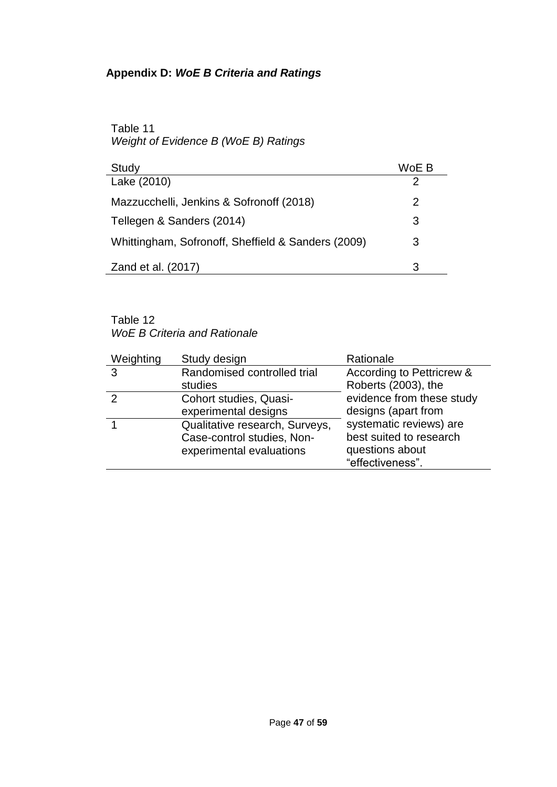# **Appendix D:** *WoE B Criteria and Ratings*

## Table 11 *Weight of Evidence B (WoE B) Ratings*

| Study                                              | WoE B |
|----------------------------------------------------|-------|
| Lake (2010)                                        |       |
| Mazzucchelli, Jenkins & Sofronoff (2018)           | 2     |
| Tellegen & Sanders (2014)                          | З     |
| Whittingham, Sofronoff, Sheffield & Sanders (2009) | 3     |
| Zand et al. (2017)                                 | З     |

## Table 12 *WoE B Criteria and Rationale*

| Weighting | Study design                   | Rationale                 |
|-----------|--------------------------------|---------------------------|
| 3         | Randomised controlled trial    | According to Pettricrew & |
|           | studies                        | Roberts (2003), the       |
| 2         | Cohort studies, Quasi-         | evidence from these study |
|           | experimental designs           | designs (apart from       |
|           | Qualitative research, Surveys, | systematic reviews) are   |
|           | Case-control studies, Non-     | best suited to research   |
|           | experimental evaluations       | questions about           |
|           |                                | "effectiveness".          |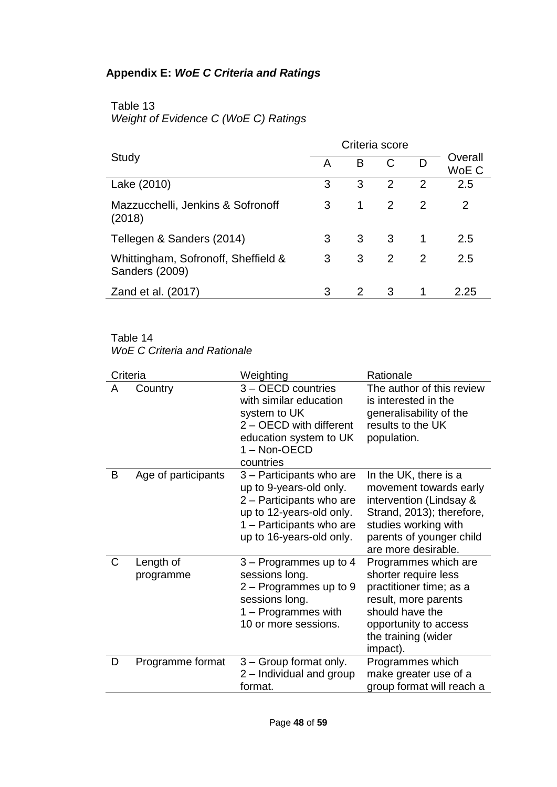# **Appendix E:** *WoE C Criteria and Ratings*

# Table 13 *Weight of Evidence C (WoE C) Ratings*

|                                                       |   |                |                | Criteria score |                  |  |  |
|-------------------------------------------------------|---|----------------|----------------|----------------|------------------|--|--|
| Study                                                 | А | B              | C              | D              | Overall<br>WoE C |  |  |
| Lake (2010)                                           | 3 | 3              | $\mathcal{P}$  | $\mathcal{P}$  | 2.5              |  |  |
| Mazzucchelli, Jenkins & Sofronoff<br>(2018)           | 3 | 1              | 2              | $\mathcal{P}$  | 2                |  |  |
| Tellegen & Sanders (2014)                             | 3 | 3 <sup>7</sup> | 3 <sup>3</sup> | -1             | 2.5              |  |  |
| Whittingham, Sofronoff, Sheffield &<br>Sanders (2009) | 3 | 3              | 2              | $\mathcal{P}$  | 2.5              |  |  |
| Zand et al. (2017)                                    |   | 2              | 3              |                | 2.25             |  |  |

### Table 14

*WoE C Criteria and Rationale*

| Criteria |                        | Weighting                                                                                                                                                           | Rationale                                                                                                                                                                          |  |  |  |  |
|----------|------------------------|---------------------------------------------------------------------------------------------------------------------------------------------------------------------|------------------------------------------------------------------------------------------------------------------------------------------------------------------------------------|--|--|--|--|
| A        | Country                | 3 - OECD countries<br>with similar education<br>system to UK<br>2 - OECD with different<br>education system to UK<br>1 - Non-OECD<br>countries                      | The author of this review<br>is interested in the<br>generalisability of the<br>results to the UK<br>population.                                                                   |  |  |  |  |
| B        | Age of participants    | 3 – Participants who are<br>up to 9-years-old only.<br>2 - Participants who are<br>up to 12-years-old only.<br>1 - Participants who are<br>up to 16-years-old only. | In the UK, there is a<br>movement towards early<br>intervention (Lindsay &<br>Strand, 2013); therefore,<br>studies working with<br>parents of younger child<br>are more desirable. |  |  |  |  |
| C        | Length of<br>programme | 3 – Programmes up to 4<br>sessions long.<br>$2 -$ Programmes up to 9<br>sessions long.<br>1 - Programmes with<br>10 or more sessions.                               | Programmes which are<br>shorter require less<br>practitioner time; as a<br>result, more parents<br>should have the<br>opportunity to access<br>the training (wider<br>impact).     |  |  |  |  |
| D        | Programme format       | 3 - Group format only.<br>2 - Individual and group<br>format.                                                                                                       | Programmes which<br>make greater use of a<br>group format will reach a                                                                                                             |  |  |  |  |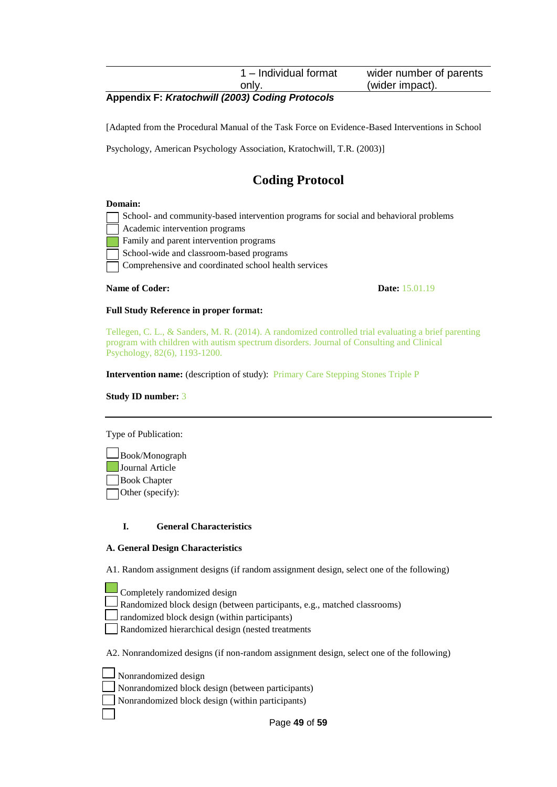| 1 - Individual format | wider number of parents |
|-----------------------|-------------------------|
| only.                 | (wider impact).         |

#### **Appendix F:** *Kratochwill (2003) Coding Protocols*

[Adapted from the Procedural Manual of the Task Force on Evidence-Based Interventions in School

Psychology, American Psychology Association, Kratochwill, T.R. (2003)]

# **Coding Protocol**

#### **Domain:**

| School- and community-based intervention programs for social and behavioral problems |
|--------------------------------------------------------------------------------------|
| Academic intervention programs                                                       |
| <b>Example 3</b> Family and parent intervention programs                             |
| School-wide and classroom-based programs                                             |
| Comprehensive and coordinated school health services                                 |

#### **Name of Coder: Date:** 15.01.19

#### **Full Study Reference in proper format:**

Tellegen, C. L., & Sanders, M. R. (2014). A randomized controlled trial evaluating a brief parenting program with children with autism spectrum disorders. Journal of Consulting and Clinical Psychology, 82(6), 1193-1200.

**Intervention name:** (description of study): Primary Care Stepping Stones Triple P

**Study ID number:** 3

Type of Publication:

 Book/Monograph **Journal Article** Book Chapter Other (specify):

#### **I. General Characteristics**

#### **A. General Design Characteristics**

A1. Random assignment designs (if random assignment design, select one of the following)

- Completely randomized design
- Randomized block design (between participants, e.g., matched classrooms)
- randomized block design (within participants)
- Randomized hierarchical design (nested treatments

A2. Nonrandomized designs (if non-random assignment design, select one of the following)

- Nonrandomized design
- Nonrandomized block design (between participants)
- Nonrandomized block design (within participants)

Page **49** of **59**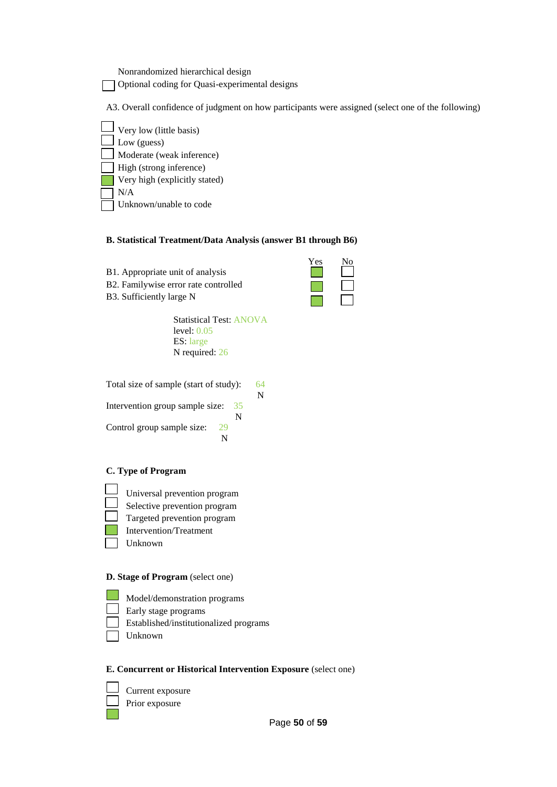Nonrandomized hierarchical design

Optional coding for Quasi-experimental designs

A3. Overall confidence of judgment on how participants were assigned (select one of the following)

Yes No



#### **B. Statistical Treatment/Data Analysis (answer B1 through B6)**

- B1. Appropriate unit of analysis
- B2. Familywise error rate controlled
- B3. Sufficiently large N

Statistical Test: ANOVA level: 0.05 ES: large N required: 26

Total size of sample (start of study): 64 N Intervention group sample size: 35 N Control group sample size: 29 N

#### **C. Type of Program**

- Universal prevention program
- Selective prevention program
- Targeted prevention program
- Intervention/Treatment
- Unknown

#### **D. Stage of Program** (select one)

- Model/demonstration programs
- $\Box$  Early stage programs
- Established/institutionalized programs
- Unknown

#### **E. Concurrent or Historical Intervention Exposure** (select one)

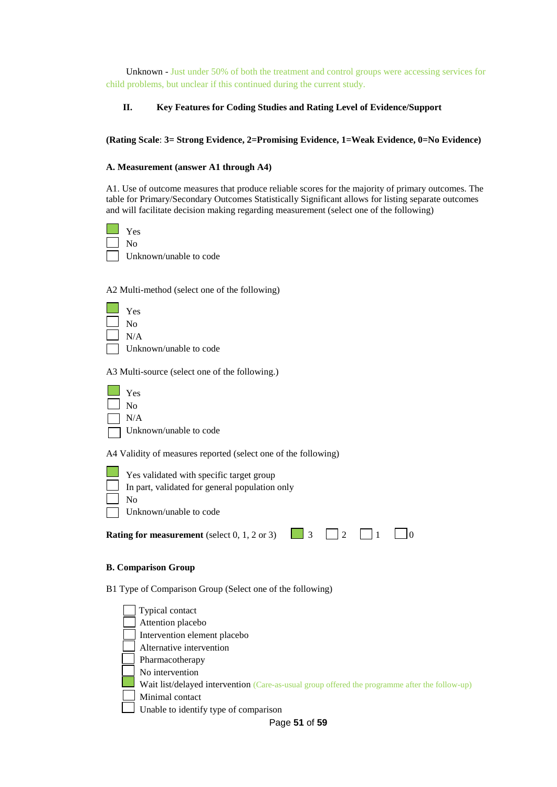Unknown - Just under 50% of both the treatment and control groups were accessing services for child problems, but unclear if this continued during the current study.

#### **II. Key Features for Coding Studies and Rating Level of Evidence/Support**

#### **(Rating Scale**: **3= Strong Evidence, 2=Promising Evidence, 1=Weak Evidence, 0=No Evidence)**

#### **A. Measurement (answer A1 through A4)**

A1. Use of outcome measures that produce reliable scores for the majority of primary outcomes. The table for Primary/Secondary Outcomes Statistically Significant allows for listing separate outcomes and will facilitate decision making regarding measurement (select one of the following)



A2 Multi-method (select one of the following)



A3 Multi-source (select one of the following.)

| Yes                    |
|------------------------|
| No                     |
| N/A                    |
| Unknown/unable to code |

A4 Validity of measures reported (select one of the following)

|                    | $\Box$ Yes validated with specific target group |
|--------------------|-------------------------------------------------|
|                    | In part, validated for general population only  |
| $\vert$ $\vert$ No |                                                 |
|                    | Unknown/unable to code                          |
|                    |                                                 |

| <b>Rating for measurement</b> (select $0, 1, 2$ or $3$ ) |  |  |  |  |  | $\Box$ 0 |  |  |
|----------------------------------------------------------|--|--|--|--|--|----------|--|--|
|----------------------------------------------------------|--|--|--|--|--|----------|--|--|

#### **B. Comparison Group**

B1 Type of Comparison Group (Select one of the following)



Page **51** of **59**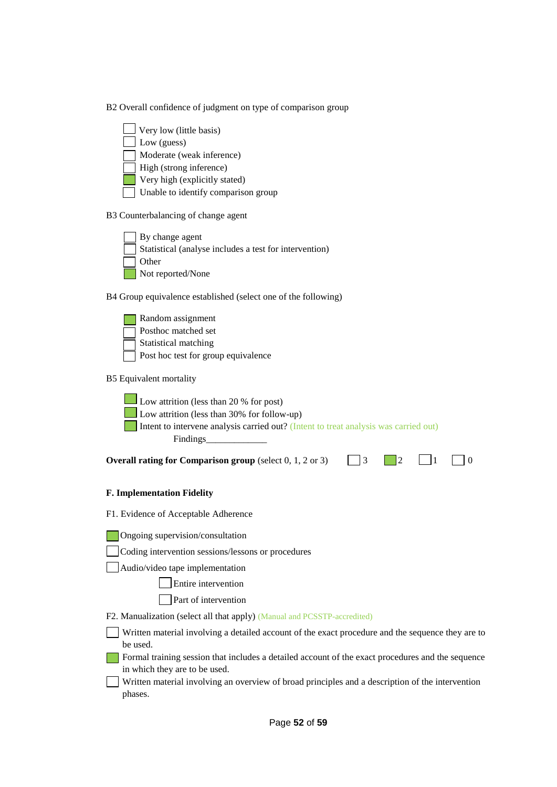B2 Overall confidence of judgment on type of comparison group



B3 Counterbalancing of change agent



B4 Group equivalence established (select one of the following)



B5 Equivalent mortality



**Overall rating for Comparison group** (select  $0, 1, 2$  or 3)  $\Box$  3  $\Box$  2  $\Box$  1  $\Box$  0

#### **F. Implementation Fidelity**

F1. Evidence of Acceptable Adherence

**Ongoing supervision/consultation** 

Coding intervention sessions/lessons or procedures

Audio/video tape implementation

Entire intervention

**Part of intervention** 

F2. Manualization (select all that apply) (Manual and PCSSTP-accredited)

Written material involving a detailed account of the exact procedure and the sequence they are to be used.

- Formal training session that includes a detailed account of the exact procedures and the sequence in which they are to be used.
- Written material involving an overview of broad principles and a description of the intervention phases.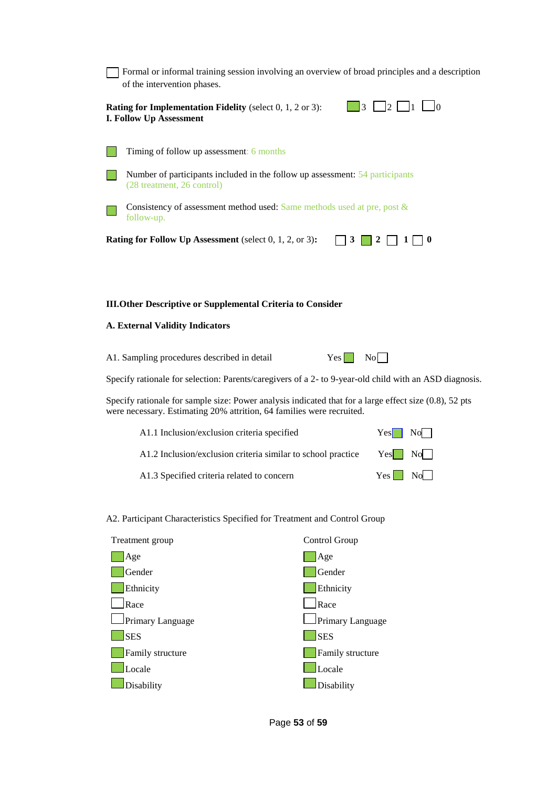| Formal or informal training session involving an overview of broad principles and a description<br>of the intervention phases. |
|--------------------------------------------------------------------------------------------------------------------------------|
| <b>Rating for Implementation Fidelity</b> (select $0, 1, 2$ or $3$ ):<br>3<br>12<br>Ю<br><b>I. Follow Up Assessment</b>        |
| Timing of follow up assessment: 6 months                                                                                       |
| Number of participants included in the follow up assessment: 54 participants<br>(28 treatment, 26 control)                     |
| Consistency of assessment method used: Same methods used at pre, post $\&$<br>follow-up.                                       |
| Rating for Follow Up Assessment (select 0, 1, 2, or 3):<br>3<br>$\bf{0}$                                                       |
|                                                                                                                                |
| <b>III.Other Descriptive or Supplemental Criteria to Consider</b>                                                              |
| <b>A. External Validity Indicators</b>                                                                                         |
| A1. Sampling procedures described in detail<br>Yes<br>N <sub>o</sub>                                                           |

Specify rationale for selection: Parents/caregivers of a 2- to 9-year-old child with an ASD diagnosis.

Specify rationale for sample size: Power analysis indicated that for a large effect size (0.8), 52 pts were necessary. Estimating 20% attrition, 64 families were recruited.

| A1.1 Inclusion/exclusion criteria specified                  | $Yes \mid No \mid$ |
|--------------------------------------------------------------|--------------------|
| A1.2 Inclusion/exclusion criteria similar to school practice | $Yes$ No           |
| A1.3 Specified criteria related to concern                   | $Yes \t No$        |

#### A2. Participant Characteristics Specified for Treatment and Control Group

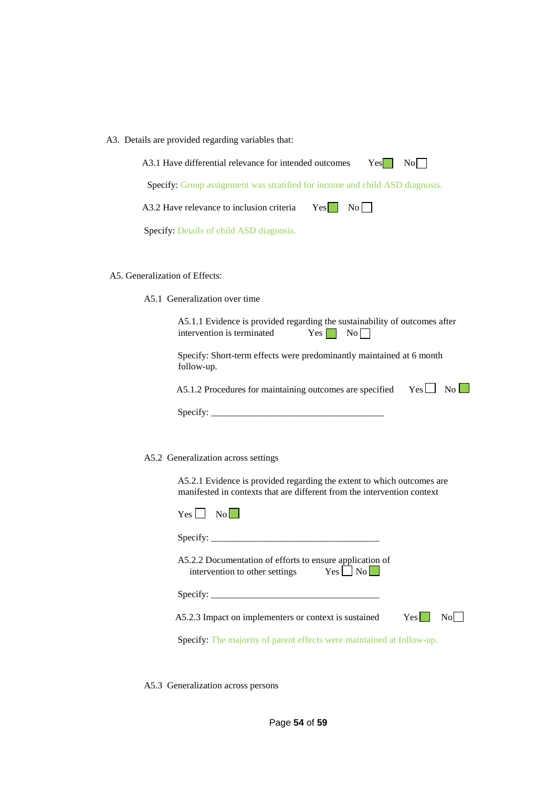| A3. Details are provided regarding variables that:                                                                                                |
|---------------------------------------------------------------------------------------------------------------------------------------------------|
| A3.1 Have differential relevance for intended outcomes<br>$Yes$  <br>$\overline{N_0}$                                                             |
| Specify: Group assignment was stratified for income and child ASD diagnosis.                                                                      |
| A3.2 Have relevance to inclusion criteria $\qquad$ Yes $\qquad$ No $\qquad$                                                                       |
| Specify: Details of child ASD diagnosis.                                                                                                          |
|                                                                                                                                                   |
| A5. Generalization of Effects:                                                                                                                    |
| A5.1 Generalization over time                                                                                                                     |
| A5.1.1 Evidence is provided regarding the sustainability of outcomes after<br>intervention is terminated<br>Yes <sub>1</sub><br>No                |
| Specify: Short-term effects were predominantly maintained at 6 month<br>follow-up.                                                                |
| $Yes \Box No \Box$<br>A5.1.2 Procedures for maintaining outcomes are specified                                                                    |
|                                                                                                                                                   |
|                                                                                                                                                   |
| A5.2 Generalization across settings                                                                                                               |
| A5.2.1 Evidence is provided regarding the extent to which outcomes are<br>manifested in contexts that are different from the intervention context |
| $Yes \Box No \Box$                                                                                                                                |
|                                                                                                                                                   |
| A5.2.2 Documentation of efforts to ensure application of<br>$Yes \mid No \mid$<br>intervention to other settings                                  |
| $\text{Specify:}\n\begin{array}{ccc}\n\ldots & \ldots & \ldots & \ldots\n\end{array}$                                                             |
| A5.2.3 Impact on implementers or context is sustained<br>$Yes$  <br>N <sub>o</sub>                                                                |
| Specify: The majority of parent effects were maintained at follow-up.                                                                             |

A5.3 Generalization across persons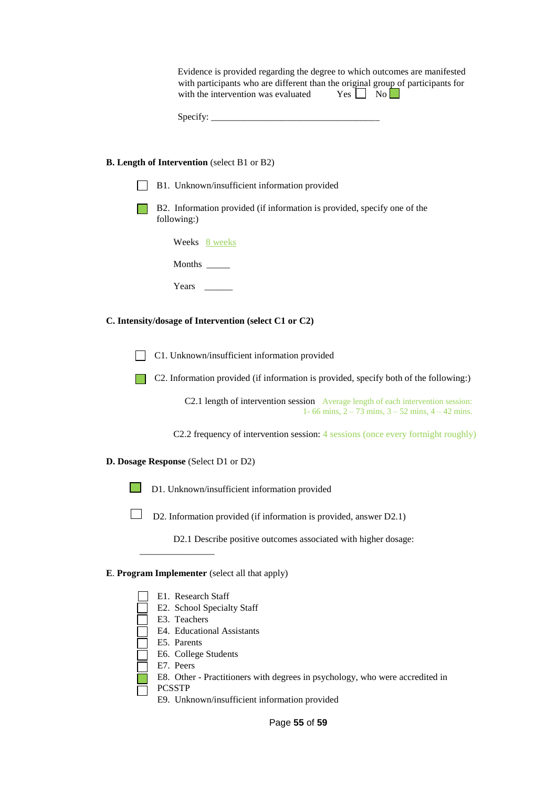Evidence is provided regarding the degree to which outcomes are manifested with participants who are different than the original group of participants for with the intervention was evaluated  $Yes \Box$  No

| Specify: |  |
|----------|--|
|----------|--|

#### **B. Length of Intervention** (select B1 or B2)

| B1. Unknown/insufficient information provided                                                                                               |
|---------------------------------------------------------------------------------------------------------------------------------------------|
| B2. Information provided (if information is provided, specify one of the<br>following:)                                                     |
| Weeks 8 weeks                                                                                                                               |
| Months $\frac{1}{\sqrt{1-\frac{1}{2}}\cdot\frac{1}{\sqrt{1-\frac{1}{2}}}}$                                                                  |
| Years                                                                                                                                       |
| C. Intensity/dosage of Intervention (select C1 or C2)                                                                                       |
| C1. Unknown/insufficient information provided                                                                                               |
| C2. Information provided (if information is provided, specify both of the following:)                                                       |
| C2.1 length of intervention session Average length of each intervention session:<br>1-66 mins, $2 - 73$ mins, $3 - 52$ mins, $4 - 42$ mins. |
| C2.2 frequency of intervention session: 4 sessions (once every fortnight roughly)                                                           |
| D. Dosage Response (Select D1 or D2)                                                                                                        |
| D1. Unknown/insufficient information provided                                                                                               |
| D2. Information provided (if information is provided, answer D2.1)                                                                          |
| D2.1 Describe positive outcomes associated with higher dosage:                                                                              |
| E. Program Implementer (select all that apply)                                                                                              |
| E1. Research Staff                                                                                                                          |
| E2. School Specialty Staff                                                                                                                  |
| E3. Teachers                                                                                                                                |

E9. Unknown/insufficient information provided

E8. Other - Practitioners with degrees in psychology, who were accredited in

E4. Educational Assistants

E6. College Students

E5. Parents

E7. Peers

PCSSTP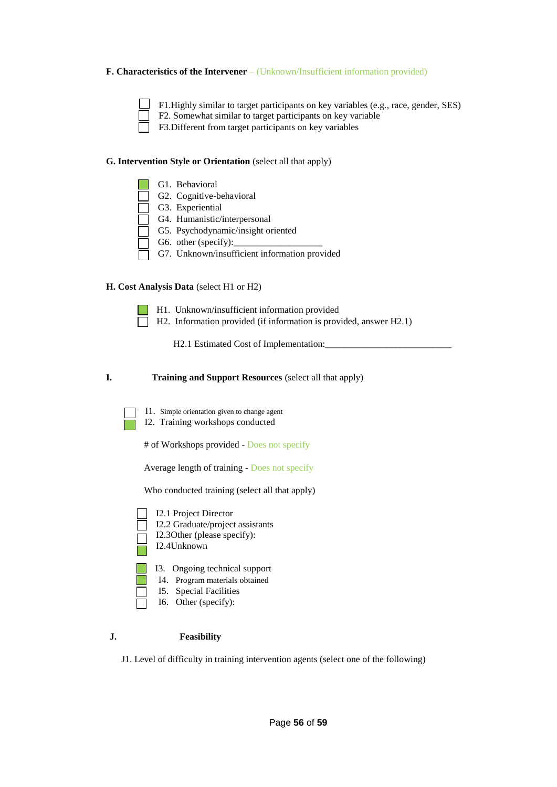#### **F. Characteristics of the Intervener** – (Unknown/Insufficient information provided)

F1.Highly similar to target participants on key variables (e.g., race, gender, SES) F2. Somewhat similar to target participants on key variable

F3. Different from target participants on key variables

#### **G. Intervention Style or Orientation** (select all that apply)

| G1. Behavioral                                |
|-----------------------------------------------|
| G2. Cognitive-behavioral                      |
| G3. Experiential                              |
| G4. Humanistic/interpersonal                  |
| G5. Psychodynamic/insight oriented            |
| G6. other (specify): $\qquad \qquad$          |
| G7. Unknown/insufficient information provided |

#### **H. Cost Analysis Data** (select H1 or H2)

 H1. Unknown/insufficient information provided H2. Information provided (if information is provided, answer H2.1)

H2.1 Estimated Cost of Implementation:

**I. Training and Support Resources** (select all that apply)

I1. Simple orientation given to change agent I2. Training workshops conducted

# of Workshops provided - Does not specify

Average length of training - Does not specify

Who conducted training (select all that apply)

| I2.1 Project Director<br>I2.2 Graduate/project assistants<br>I2.30ther (please specify):<br>I2.4Unknown           |
|-------------------------------------------------------------------------------------------------------------------|
| 13. Ongoing technical support<br>I4. Program materials obtained<br>15. Special Facilities<br>I6. Other (specify): |

#### **J. Feasibility**

J1. Level of difficulty in training intervention agents (select one of the following)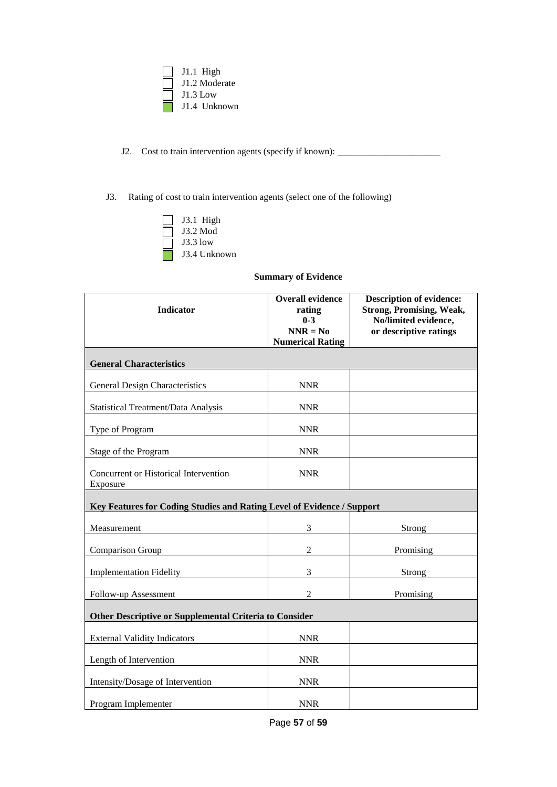

- J2. Cost to train intervention agents (specify if known): \_\_\_\_\_\_\_\_\_\_\_\_\_\_\_\_\_\_\_\_\_\_
- J3. Rating of cost to train intervention agents (select one of the following)

| J3.1 High    |
|--------------|
| J3.2 Mod     |
| J3.3 low     |
| J3.4 Unknown |

#### **Summary of Evidence**

| <b>Indicator</b>                                                       | <b>Overall evidence</b><br>rating<br>$0 - 3$<br>$NNR = No$<br><b>Numerical Rating</b> | <b>Description of evidence:</b><br><b>Strong, Promising, Weak,</b><br>No/limited evidence,<br>or descriptive ratings |
|------------------------------------------------------------------------|---------------------------------------------------------------------------------------|----------------------------------------------------------------------------------------------------------------------|
| <b>General Characteristics</b>                                         |                                                                                       |                                                                                                                      |
| General Design Characteristics                                         | <b>NNR</b>                                                                            |                                                                                                                      |
| Statistical Treatment/Data Analysis                                    | <b>NNR</b>                                                                            |                                                                                                                      |
| Type of Program                                                        | <b>NNR</b>                                                                            |                                                                                                                      |
| Stage of the Program                                                   | <b>NNR</b>                                                                            |                                                                                                                      |
| Concurrent or Historical Intervention<br>Exposure                      | <b>NNR</b>                                                                            |                                                                                                                      |
| Key Features for Coding Studies and Rating Level of Evidence / Support |                                                                                       |                                                                                                                      |
| Measurement                                                            | $\mathfrak{Z}$                                                                        | <b>Strong</b>                                                                                                        |
| Comparison Group                                                       | $\overline{2}$                                                                        | Promising                                                                                                            |
| <b>Implementation Fidelity</b>                                         | 3                                                                                     | <b>Strong</b>                                                                                                        |
| Follow-up Assessment                                                   | $\overline{2}$                                                                        | Promising                                                                                                            |
| <b>Other Descriptive or Supplemental Criteria to Consider</b>          |                                                                                       |                                                                                                                      |
| <b>External Validity Indicators</b>                                    | <b>NNR</b>                                                                            |                                                                                                                      |
| Length of Intervention                                                 | <b>NNR</b>                                                                            |                                                                                                                      |
| Intensity/Dosage of Intervention                                       | <b>NNR</b>                                                                            |                                                                                                                      |
| Program Implementer                                                    | <b>NNR</b>                                                                            |                                                                                                                      |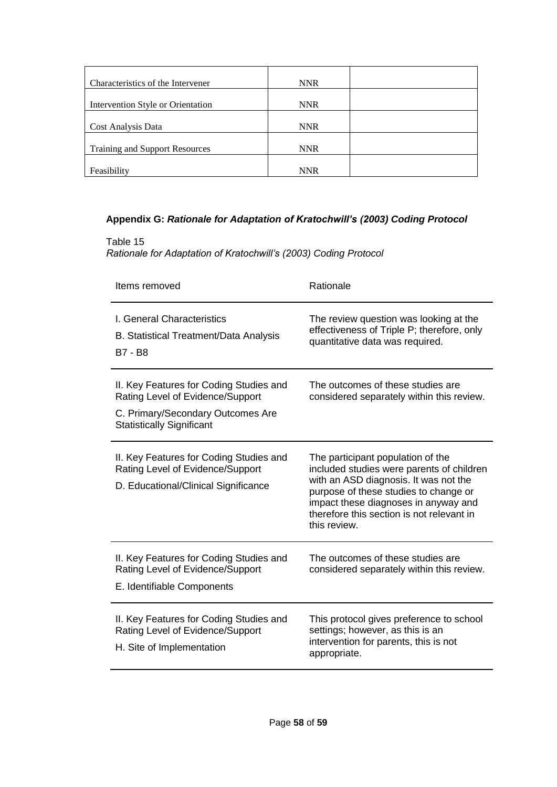| Characteristics of the Intervener | <b>NNR</b> |  |
|-----------------------------------|------------|--|
|                                   |            |  |
| Intervention Style or Orientation | <b>NNR</b> |  |
|                                   |            |  |
| Cost Analysis Data                | <b>NNR</b> |  |
|                                   |            |  |
| Training and Support Resources    | <b>NNR</b> |  |
|                                   |            |  |
| Feasibility                       | <b>NNR</b> |  |

## **Appendix G:** *Rationale for Adaptation of Kratochwill's (2003) Coding Protocol*

Table 15 *Rationale for Adaptation of Kratochwill's (2003) Coding Protocol*

| Items removed                                                                                                                                        | Rationale                                                                                                                                                                                                                                                             |
|------------------------------------------------------------------------------------------------------------------------------------------------------|-----------------------------------------------------------------------------------------------------------------------------------------------------------------------------------------------------------------------------------------------------------------------|
| I. General Characteristics<br>B. Statistical Treatment/Data Analysis<br>B7 - B8                                                                      | The review question was looking at the<br>effectiveness of Triple P; therefore, only<br>quantitative data was required.                                                                                                                                               |
| II. Key Features for Coding Studies and<br>Rating Level of Evidence/Support<br>C. Primary/Secondary Outcomes Are<br><b>Statistically Significant</b> | The outcomes of these studies are<br>considered separately within this review.                                                                                                                                                                                        |
| II. Key Features for Coding Studies and<br>Rating Level of Evidence/Support<br>D. Educational/Clinical Significance                                  | The participant population of the<br>included studies were parents of children<br>with an ASD diagnosis. It was not the<br>purpose of these studies to change or<br>impact these diagnoses in anyway and<br>therefore this section is not relevant in<br>this review. |
| II. Key Features for Coding Studies and<br>Rating Level of Evidence/Support<br>E. Identifiable Components                                            | The outcomes of these studies are<br>considered separately within this review.                                                                                                                                                                                        |
| II. Key Features for Coding Studies and<br>Rating Level of Evidence/Support<br>H. Site of Implementation                                             | This protocol gives preference to school<br>settings; however, as this is an<br>intervention for parents, this is not<br>appropriate.                                                                                                                                 |